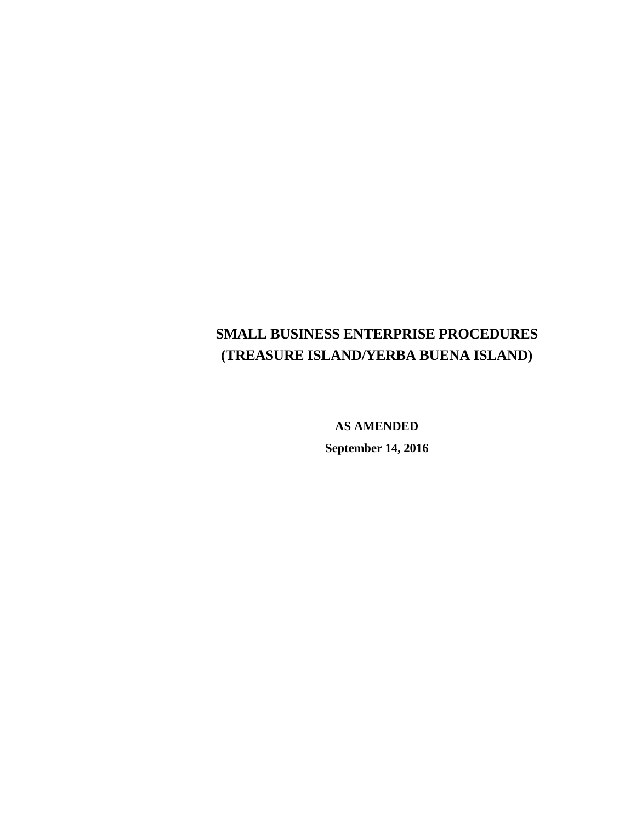**AS AMENDED September 14, 2016**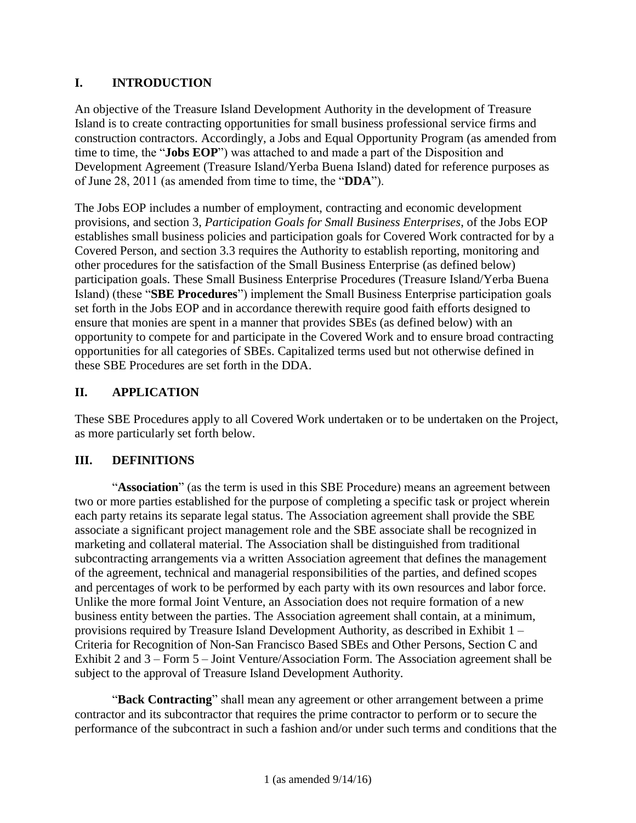# **I. INTRODUCTION**

An objective of the Treasure Island Development Authority in the development of Treasure Island is to create contracting opportunities for small business professional service firms and construction contractors. Accordingly, a Jobs and Equal Opportunity Program (as amended from time to time, the "**Jobs EOP**") was attached to and made a part of the Disposition and Development Agreement (Treasure Island/Yerba Buena Island) dated for reference purposes as of June 28, 2011 (as amended from time to time, the "**DDA**").

The Jobs EOP includes a number of employment, contracting and economic development provisions, and section 3, *Participation Goals for Small Business Enterprises*, of the Jobs EOP establishes small business policies and participation goals for Covered Work contracted for by a Covered Person, and section 3.3 requires the Authority to establish reporting, monitoring and other procedures for the satisfaction of the Small Business Enterprise (as defined below) participation goals. These Small Business Enterprise Procedures (Treasure Island/Yerba Buena Island) (these "**SBE Procedures**") implement the Small Business Enterprise participation goals set forth in the Jobs EOP and in accordance therewith require good faith efforts designed to ensure that monies are spent in a manner that provides SBEs (as defined below) with an opportunity to compete for and participate in the Covered Work and to ensure broad contracting opportunities for all categories of SBEs. Capitalized terms used but not otherwise defined in these SBE Procedures are set forth in the DDA.

# **II. APPLICATION**

These SBE Procedures apply to all Covered Work undertaken or to be undertaken on the Project, as more particularly set forth below.

# **III. DEFINITIONS**

"**Association**" (as the term is used in this SBE Procedure) means an agreement between two or more parties established for the purpose of completing a specific task or project wherein each party retains its separate legal status. The Association agreement shall provide the SBE associate a significant project management role and the SBE associate shall be recognized in marketing and collateral material. The Association shall be distinguished from traditional subcontracting arrangements via a written Association agreement that defines the management of the agreement, technical and managerial responsibilities of the parties, and defined scopes and percentages of work to be performed by each party with its own resources and labor force. Unlike the more formal Joint Venture, an Association does not require formation of a new business entity between the parties. The Association agreement shall contain, at a minimum, provisions required by Treasure Island Development Authority, as described in Exhibit 1 – Criteria for Recognition of Non-San Francisco Based SBEs and Other Persons, Section C and Exhibit 2 and 3 – Form 5 – Joint Venture/Association Form. The Association agreement shall be subject to the approval of Treasure Island Development Authority.

"**Back Contracting**" shall mean any agreement or other arrangement between a prime contractor and its subcontractor that requires the prime contractor to perform or to secure the performance of the subcontract in such a fashion and/or under such terms and conditions that the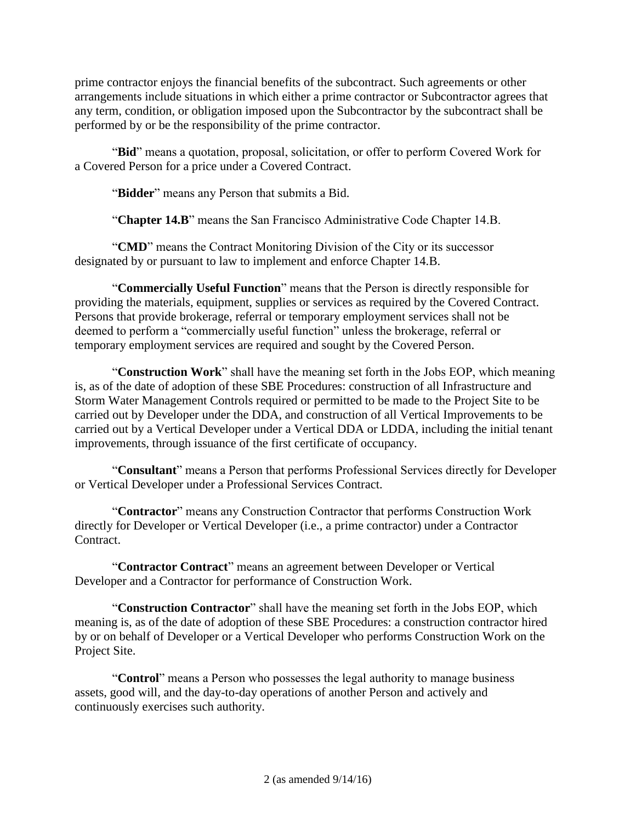prime contractor enjoys the financial benefits of the subcontract. Such agreements or other arrangements include situations in which either a prime contractor or Subcontractor agrees that any term, condition, or obligation imposed upon the Subcontractor by the subcontract shall be performed by or be the responsibility of the prime contractor.

"**Bid**" means a quotation, proposal, solicitation, or offer to perform Covered Work for a Covered Person for a price under a Covered Contract.

"**Bidder**" means any Person that submits a Bid.

"**Chapter 14.B**" means the San Francisco Administrative Code Chapter 14.B.

"**CMD**" means the Contract Monitoring Division of the City or its successor designated by or pursuant to law to implement and enforce Chapter 14.B.

"**Commercially Useful Function**" means that the Person is directly responsible for providing the materials, equipment, supplies or services as required by the Covered Contract. Persons that provide brokerage, referral or temporary employment services shall not be deemed to perform a "commercially useful function" unless the brokerage, referral or temporary employment services are required and sought by the Covered Person.

"**Construction Work**" shall have the meaning set forth in the Jobs EOP, which meaning is, as of the date of adoption of these SBE Procedures: construction of all Infrastructure and Storm Water Management Controls required or permitted to be made to the Project Site to be carried out by Developer under the DDA, and construction of all Vertical Improvements to be carried out by a Vertical Developer under a Vertical DDA or LDDA, including the initial tenant improvements, through issuance of the first certificate of occupancy.

"**Consultant**" means a Person that performs Professional Services directly for Developer or Vertical Developer under a Professional Services Contract.

"**Contractor**" means any Construction Contractor that performs Construction Work directly for Developer or Vertical Developer (i.e., a prime contractor) under a Contractor Contract.

"**Contractor Contract**" means an agreement between Developer or Vertical Developer and a Contractor for performance of Construction Work.

"**Construction Contractor**" shall have the meaning set forth in the Jobs EOP, which meaning is, as of the date of adoption of these SBE Procedures: a construction contractor hired by or on behalf of Developer or a Vertical Developer who performs Construction Work on the Project Site.

"**Control**" means a Person who possesses the legal authority to manage business assets, good will, and the day-to-day operations of another Person and actively and continuously exercises such authority.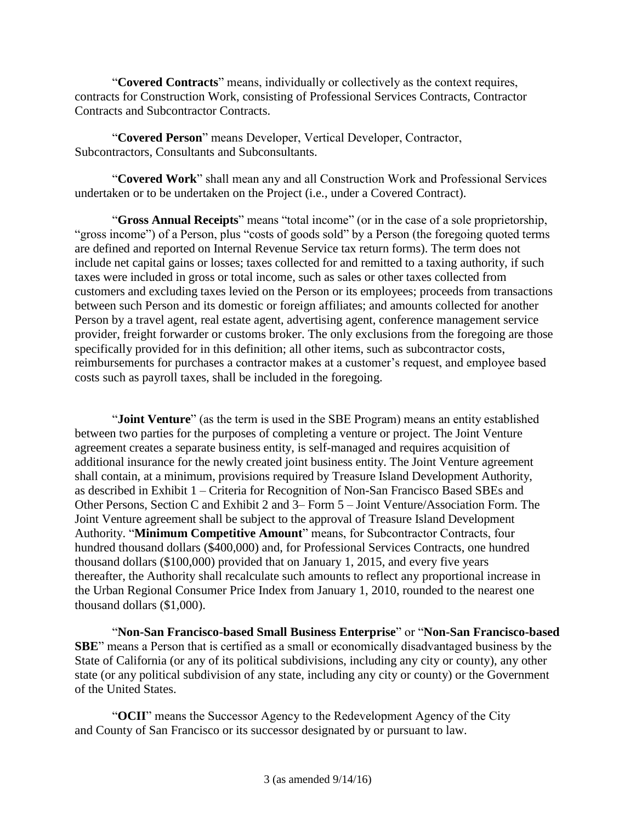"**Covered Contracts**" means, individually or collectively as the context requires, contracts for Construction Work, consisting of Professional Services Contracts, Contractor Contracts and Subcontractor Contracts.

"**Covered Person**" means Developer, Vertical Developer, Contractor, Subcontractors, Consultants and Subconsultants.

"**Covered Work**" shall mean any and all Construction Work and Professional Services undertaken or to be undertaken on the Project (i.e., under a Covered Contract).

"**Gross Annual Receipts**" means "total income" (or in the case of a sole proprietorship, "gross income") of a Person, plus "costs of goods sold" by a Person (the foregoing quoted terms are defined and reported on Internal Revenue Service tax return forms). The term does not include net capital gains or losses; taxes collected for and remitted to a taxing authority, if such taxes were included in gross or total income, such as sales or other taxes collected from customers and excluding taxes levied on the Person or its employees; proceeds from transactions between such Person and its domestic or foreign affiliates; and amounts collected for another Person by a travel agent, real estate agent, advertising agent, conference management service provider, freight forwarder or customs broker. The only exclusions from the foregoing are those specifically provided for in this definition; all other items, such as subcontractor costs, reimbursements for purchases a contractor makes at a customer's request, and employee based costs such as payroll taxes, shall be included in the foregoing.

"**Joint Venture**" (as the term is used in the SBE Program) means an entity established between two parties for the purposes of completing a venture or project. The Joint Venture agreement creates a separate business entity, is self-managed and requires acquisition of additional insurance for the newly created joint business entity. The Joint Venture agreement shall contain, at a minimum, provisions required by Treasure Island Development Authority, as described in Exhibit 1 – Criteria for Recognition of Non-San Francisco Based SBEs and Other Persons, Section C and Exhibit 2 and 3– Form 5 – Joint Venture/Association Form. The Joint Venture agreement shall be subject to the approval of Treasure Island Development Authority. "**Minimum Competitive Amount**" means, for Subcontractor Contracts, four hundred thousand dollars (\$400,000) and, for Professional Services Contracts, one hundred thousand dollars (\$100,000) provided that on January 1, 2015, and every five years thereafter, the Authority shall recalculate such amounts to reflect any proportional increase in the Urban Regional Consumer Price Index from January 1, 2010, rounded to the nearest one thousand dollars (\$1,000).

"**Non-San Francisco-based Small Business Enterprise**" or "**Non-San Francisco-based SBE**" means a Person that is certified as a small or economically disadvantaged business by the State of California (or any of its political subdivisions, including any city or county), any other state (or any political subdivision of any state, including any city or county) or the Government of the United States.

"**OCII**" means the Successor Agency to the Redevelopment Agency of the City and County of San Francisco or its successor designated by or pursuant to law.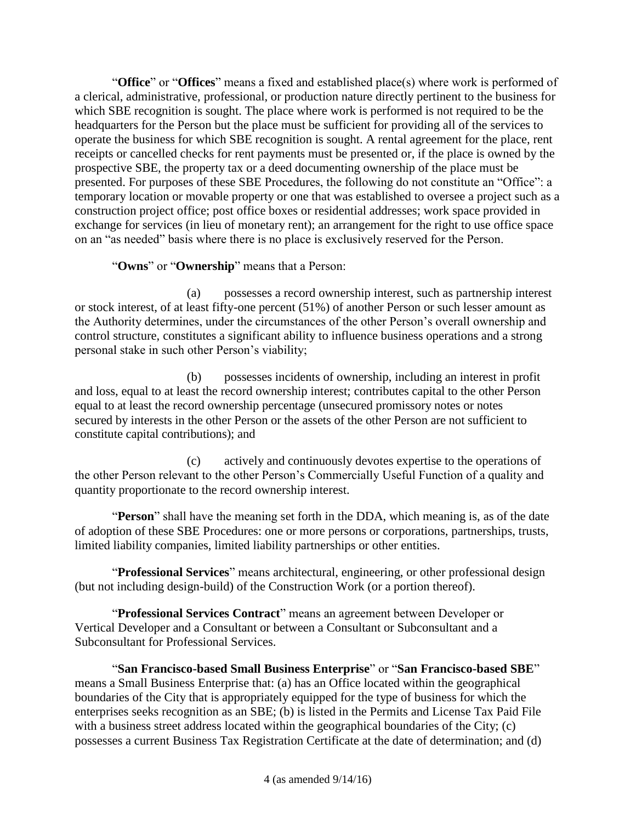"**Office**" or "**Offices**" means a fixed and established place(s) where work is performed of a clerical, administrative, professional, or production nature directly pertinent to the business for which SBE recognition is sought. The place where work is performed is not required to be the headquarters for the Person but the place must be sufficient for providing all of the services to operate the business for which SBE recognition is sought. A rental agreement for the place, rent receipts or cancelled checks for rent payments must be presented or, if the place is owned by the prospective SBE, the property tax or a deed documenting ownership of the place must be presented. For purposes of these SBE Procedures, the following do not constitute an "Office": a temporary location or movable property or one that was established to oversee a project such as a construction project office; post office boxes or residential addresses; work space provided in exchange for services (in lieu of monetary rent); an arrangement for the right to use office space on an "as needed" basis where there is no place is exclusively reserved for the Person.

# "**Owns**" or "**Ownership**" means that a Person:

(a) possesses a record ownership interest, such as partnership interest or stock interest, of at least fifty-one percent (51%) of another Person or such lesser amount as the Authority determines, under the circumstances of the other Person's overall ownership and control structure, constitutes a significant ability to influence business operations and a strong personal stake in such other Person's viability;

(b) possesses incidents of ownership, including an interest in profit and loss, equal to at least the record ownership interest; contributes capital to the other Person equal to at least the record ownership percentage (unsecured promissory notes or notes secured by interests in the other Person or the assets of the other Person are not sufficient to constitute capital contributions); and

(c) actively and continuously devotes expertise to the operations of the other Person relevant to the other Person's Commercially Useful Function of a quality and quantity proportionate to the record ownership interest.

"**Person**" shall have the meaning set forth in the DDA, which meaning is, as of the date of adoption of these SBE Procedures: one or more persons or corporations, partnerships, trusts, limited liability companies, limited liability partnerships or other entities.

"**Professional Services**" means architectural, engineering, or other professional design (but not including design-build) of the Construction Work (or a portion thereof).

"**Professional Services Contract**" means an agreement between Developer or Vertical Developer and a Consultant or between a Consultant or Subconsultant and a Subconsultant for Professional Services.

"**San Francisco-based Small Business Enterprise**" or "**San Francisco-based SBE**" means a Small Business Enterprise that: (a) has an Office located within the geographical boundaries of the City that is appropriately equipped for the type of business for which the enterprises seeks recognition as an SBE; (b) is listed in the Permits and License Tax Paid File with a business street address located within the geographical boundaries of the City; (c) possesses a current Business Tax Registration Certificate at the date of determination; and (d)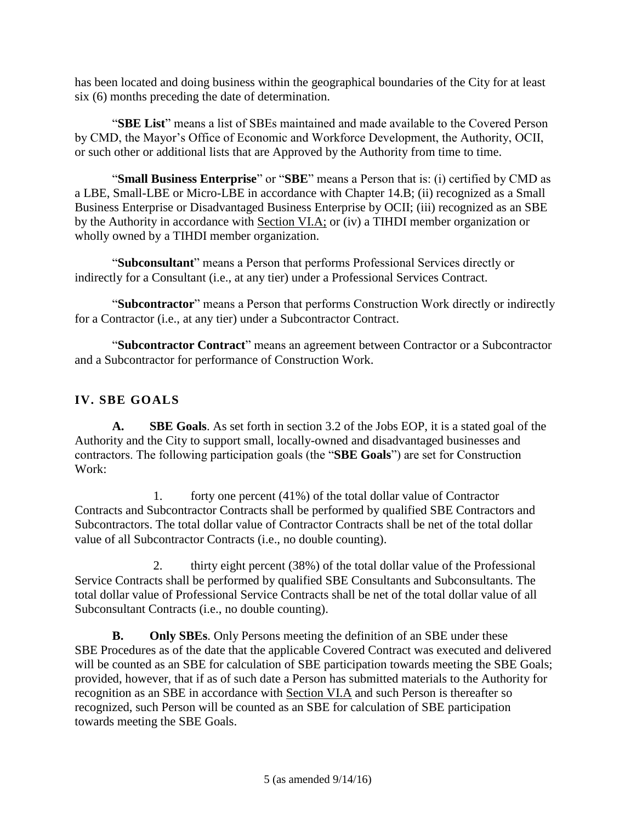has been located and doing business within the geographical boundaries of the City for at least six (6) months preceding the date of determination.

"**SBE List**" means a list of SBEs maintained and made available to the Covered Person by CMD, the Mayor's Office of Economic and Workforce Development, the Authority, OCII, or such other or additional lists that are Approved by the Authority from time to time.

"**Small Business Enterprise**" or "**SBE**" means a Person that is: (i) certified by CMD as a LBE, Small-LBE or Micro-LBE in accordance with Chapter 14.B; (ii) recognized as a Small Business Enterprise or Disadvantaged Business Enterprise by OCII; (iii) recognized as an SBE by the Authority in accordance with Section VI.A; or (iv) a TIHDI member organization or wholly owned by a TIHDI member organization.

"**Subconsultant**" means a Person that performs Professional Services directly or indirectly for a Consultant (i.e., at any tier) under a Professional Services Contract.

"**Subcontractor**" means a Person that performs Construction Work directly or indirectly for a Contractor (i.e., at any tier) under a Subcontractor Contract.

"**Subcontractor Contract**" means an agreement between Contractor or a Subcontractor and a Subcontractor for performance of Construction Work.

# **IV. SBE GOALS**

**A. SBE Goals**. As set forth in section 3.2 of the Jobs EOP, it is a stated goal of the Authority and the City to support small, locally-owned and disadvantaged businesses and contractors. The following participation goals (the "**SBE Goals**") are set for Construction Work:

1. forty one percent (41%) of the total dollar value of Contractor Contracts and Subcontractor Contracts shall be performed by qualified SBE Contractors and Subcontractors. The total dollar value of Contractor Contracts shall be net of the total dollar value of all Subcontractor Contracts (i.e., no double counting).

2. thirty eight percent (38%) of the total dollar value of the Professional Service Contracts shall be performed by qualified SBE Consultants and Subconsultants. The total dollar value of Professional Service Contracts shall be net of the total dollar value of all Subconsultant Contracts (i.e., no double counting).

**B. Only SBEs**. Only Persons meeting the definition of an SBE under these SBE Procedures as of the date that the applicable Covered Contract was executed and delivered will be counted as an SBE for calculation of SBE participation towards meeting the SBE Goals; provided, however, that if as of such date a Person has submitted materials to the Authority for recognition as an SBE in accordance with Section VI.A and such Person is thereafter so recognized, such Person will be counted as an SBE for calculation of SBE participation towards meeting the SBE Goals.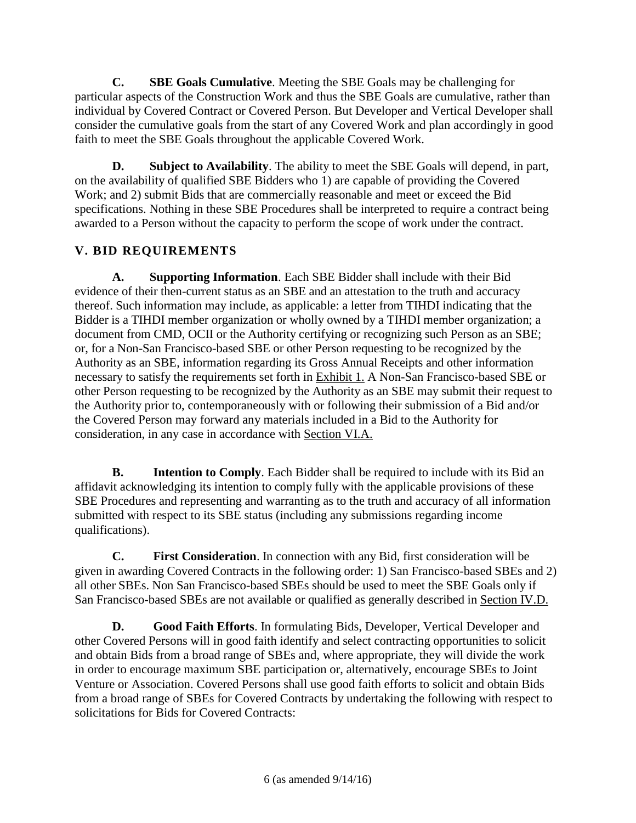**C. SBE Goals Cumulative**. Meeting the SBE Goals may be challenging for particular aspects of the Construction Work and thus the SBE Goals are cumulative, rather than individual by Covered Contract or Covered Person. But Developer and Vertical Developer shall consider the cumulative goals from the start of any Covered Work and plan accordingly in good faith to meet the SBE Goals throughout the applicable Covered Work.

**D. Subject to Availability**. The ability to meet the SBE Goals will depend, in part, on the availability of qualified SBE Bidders who 1) are capable of providing the Covered Work; and 2) submit Bids that are commercially reasonable and meet or exceed the Bid specifications. Nothing in these SBE Procedures shall be interpreted to require a contract being awarded to a Person without the capacity to perform the scope of work under the contract.

# **V. BID REQUIREMENTS**

**A. Supporting Information**. Each SBE Bidder shall include with their Bid evidence of their then-current status as an SBE and an attestation to the truth and accuracy thereof. Such information may include, as applicable: a letter from TIHDI indicating that the Bidder is a TIHDI member organization or wholly owned by a TIHDI member organization; a document from CMD, OCII or the Authority certifying or recognizing such Person as an SBE; or, for a Non-San Francisco-based SBE or other Person requesting to be recognized by the Authority as an SBE, information regarding its Gross Annual Receipts and other information necessary to satisfy the requirements set forth in Exhibit 1. A Non-San Francisco-based SBE or other Person requesting to be recognized by the Authority as an SBE may submit their request to the Authority prior to, contemporaneously with or following their submission of a Bid and/or the Covered Person may forward any materials included in a Bid to the Authority for consideration, in any case in accordance with Section VI.A.

**B. Intention to Comply**. Each Bidder shall be required to include with its Bid an affidavit acknowledging its intention to comply fully with the applicable provisions of these SBE Procedures and representing and warranting as to the truth and accuracy of all information submitted with respect to its SBE status (including any submissions regarding income qualifications).

**C. First Consideration**. In connection with any Bid, first consideration will be given in awarding Covered Contracts in the following order: 1) San Francisco-based SBEs and 2) all other SBEs. Non San Francisco-based SBEs should be used to meet the SBE Goals only if San Francisco-based SBEs are not available or qualified as generally described in Section IV.D.

**D. Good Faith Efforts**. In formulating Bids, Developer, Vertical Developer and other Covered Persons will in good faith identify and select contracting opportunities to solicit and obtain Bids from a broad range of SBEs and, where appropriate, they will divide the work in order to encourage maximum SBE participation or, alternatively, encourage SBEs to Joint Venture or Association. Covered Persons shall use good faith efforts to solicit and obtain Bids from a broad range of SBEs for Covered Contracts by undertaking the following with respect to solicitations for Bids for Covered Contracts: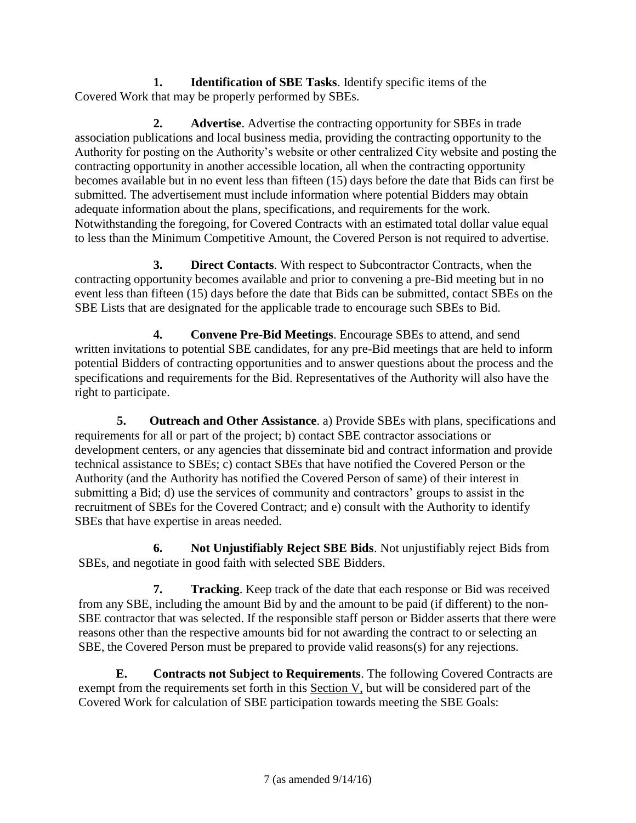**1. Identification of SBE Tasks**. Identify specific items of the Covered Work that may be properly performed by SBEs.

**2. Advertise**. Advertise the contracting opportunity for SBEs in trade association publications and local business media, providing the contracting opportunity to the Authority for posting on the Authority's website or other centralized City website and posting the contracting opportunity in another accessible location, all when the contracting opportunity becomes available but in no event less than fifteen (15) days before the date that Bids can first be submitted. The advertisement must include information where potential Bidders may obtain adequate information about the plans, specifications, and requirements for the work. Notwithstanding the foregoing, for Covered Contracts with an estimated total dollar value equal to less than the Minimum Competitive Amount, the Covered Person is not required to advertise.

**3. Direct Contacts**. With respect to Subcontractor Contracts, when the contracting opportunity becomes available and prior to convening a pre-Bid meeting but in no event less than fifteen (15) days before the date that Bids can be submitted, contact SBEs on the SBE Lists that are designated for the applicable trade to encourage such SBEs to Bid.

**4. Convene Pre-Bid Meetings**. Encourage SBEs to attend, and send written invitations to potential SBE candidates, for any pre-Bid meetings that are held to inform potential Bidders of contracting opportunities and to answer questions about the process and the specifications and requirements for the Bid. Representatives of the Authority will also have the right to participate.

**5. Outreach and Other Assistance**. a) Provide SBEs with plans, specifications and requirements for all or part of the project; b) contact SBE contractor associations or development centers, or any agencies that disseminate bid and contract information and provide technical assistance to SBEs; c) contact SBEs that have notified the Covered Person or the Authority (and the Authority has notified the Covered Person of same) of their interest in submitting a Bid; d) use the services of community and contractors' groups to assist in the recruitment of SBEs for the Covered Contract; and e) consult with the Authority to identify SBEs that have expertise in areas needed.

**6. Not Unjustifiably Reject SBE Bids**. Not unjustifiably reject Bids from SBEs, and negotiate in good faith with selected SBE Bidders.

**7. Tracking**. Keep track of the date that each response or Bid was received from any SBE, including the amount Bid by and the amount to be paid (if different) to the non-SBE contractor that was selected. If the responsible staff person or Bidder asserts that there were reasons other than the respective amounts bid for not awarding the contract to or selecting an SBE, the Covered Person must be prepared to provide valid reasons(s) for any rejections.

**E. Contracts not Subject to Requirements**. The following Covered Contracts are exempt from the requirements set forth in this Section V, but will be considered part of the Covered Work for calculation of SBE participation towards meeting the SBE Goals: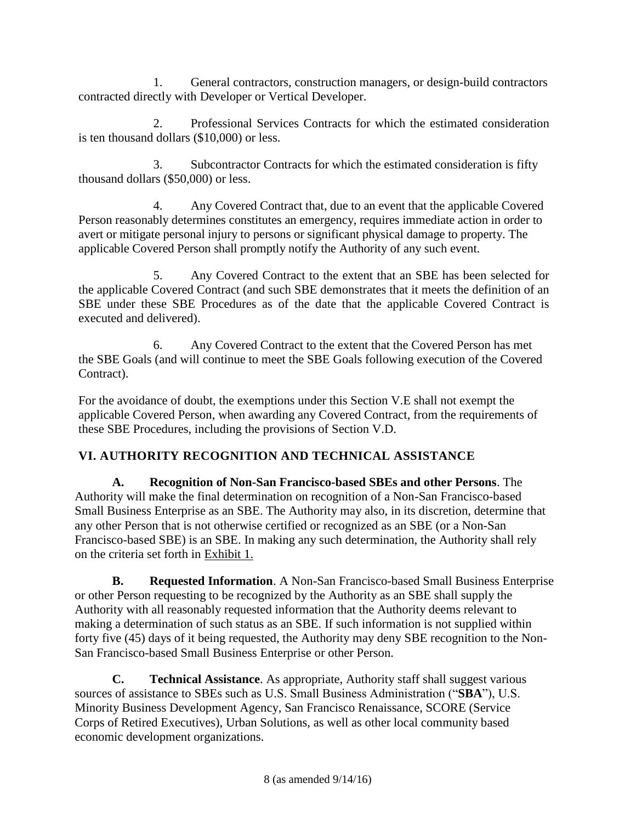1. General contractors, construction managers, or design-build contractors contracted directly with Developer or Vertical Developer.

2. Professional Services Contracts for which the estimated consideration is ten thousand dollars (\$10,000) or less.

3. Subcontractor Contracts for which the estimated consideration is fifty thousand dollars (\$50,000) or less.

4. Any Covered Contract that, due to an event that the applicable Covered Person reasonably determines constitutes an emergency, requires immediate action in order to avert or mitigate personal injury to persons or significant physical damage to property. The applicable Covered Person shall promptly notify the Authority of any such event.

5. Any Covered Contract to the extent that an SBE has been selected for the applicable Covered Contract (and such SBE demonstrates that it meets the definition of an SBE under these SBE Procedures as of the date that the applicable Covered Contract is executed and delivered).

6. Any Covered Contract to the extent that the Covered Person has met the SBE Goals (and will continue to meet the SBE Goals following execution of the Covered Contract).

For the avoidance of doubt, the exemptions under this Section V.E shall not exempt the applicable Covered Person, when awarding any Covered Contract, from the requirements of these SBE Procedures, including the provisions of Section V.D.

# **VI. AUTHORITY RECOGNITION AND TECHNICAL ASSISTANCE**

**A. Recognition of Non-San Francisco-based SBEs and other Persons**. The Authority will make the final determination on recognition of a Non-San Francisco-based Small Business Enterprise as an SBE. The Authority may also, in its discretion, determine that any other Person that is not otherwise certified or recognized as an SBE (or a Non-San Francisco-based SBE) is an SBE. In making any such determination, the Authority shall rely on the criteria set forth in Exhibit 1.

**B. Requested Information**. A Non-San Francisco-based Small Business Enterprise or other Person requesting to be recognized by the Authority as an SBE shall supply the Authority with all reasonably requested information that the Authority deems relevant to making a determination of such status as an SBE. If such information is not supplied within forty five (45) days of it being requested, the Authority may deny SBE recognition to the Non-San Francisco-based Small Business Enterprise or other Person.

**C. Technical Assistance**. As appropriate, Authority staff shall suggest various sources of assistance to SBEs such as U.S. Small Business Administration ("**SBA**"), U.S. Minority Business Development Agency, San Francisco Renaissance, SCORE (Service Corps of Retired Executives), Urban Solutions, as well as other local community based economic development organizations.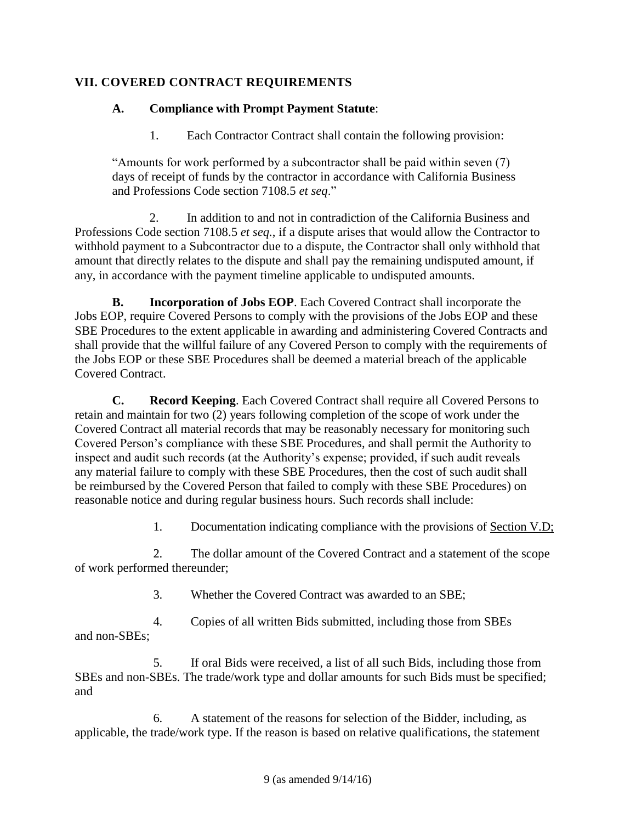# **VII. COVERED CONTRACT REQUIREMENTS**

# **A. Compliance with Prompt Payment Statute**:

1. Each Contractor Contract shall contain the following provision:

"Amounts for work performed by a subcontractor shall be paid within seven (7) days of receipt of funds by the contractor in accordance with California Business and Professions Code section 7108.5 *et seq*."

2. In addition to and not in contradiction of the California Business and Professions Code section 7108.5 *et seq.*, if a dispute arises that would allow the Contractor to withhold payment to a Subcontractor due to a dispute, the Contractor shall only withhold that amount that directly relates to the dispute and shall pay the remaining undisputed amount, if any, in accordance with the payment timeline applicable to undisputed amounts.

**B. Incorporation of Jobs EOP**. Each Covered Contract shall incorporate the Jobs EOP, require Covered Persons to comply with the provisions of the Jobs EOP and these SBE Procedures to the extent applicable in awarding and administering Covered Contracts and shall provide that the willful failure of any Covered Person to comply with the requirements of the Jobs EOP or these SBE Procedures shall be deemed a material breach of the applicable Covered Contract.

**C. Record Keeping**. Each Covered Contract shall require all Covered Persons to retain and maintain for two (2) years following completion of the scope of work under the Covered Contract all material records that may be reasonably necessary for monitoring such Covered Person's compliance with these SBE Procedures, and shall permit the Authority to inspect and audit such records (at the Authority's expense; provided, if such audit reveals any material failure to comply with these SBE Procedures, then the cost of such audit shall be reimbursed by the Covered Person that failed to comply with these SBE Procedures) on reasonable notice and during regular business hours. Such records shall include:

1. Documentation indicating compliance with the provisions of Section V.D;

2. The dollar amount of the Covered Contract and a statement of the scope of work performed thereunder;

3. Whether the Covered Contract was awarded to an SBE;

4. Copies of all written Bids submitted, including those from SBEs and non-SBEs;

5. If oral Bids were received, a list of all such Bids, including those from SBEs and non-SBEs. The trade/work type and dollar amounts for such Bids must be specified; and

6. A statement of the reasons for selection of the Bidder, including, as applicable, the trade/work type. If the reason is based on relative qualifications, the statement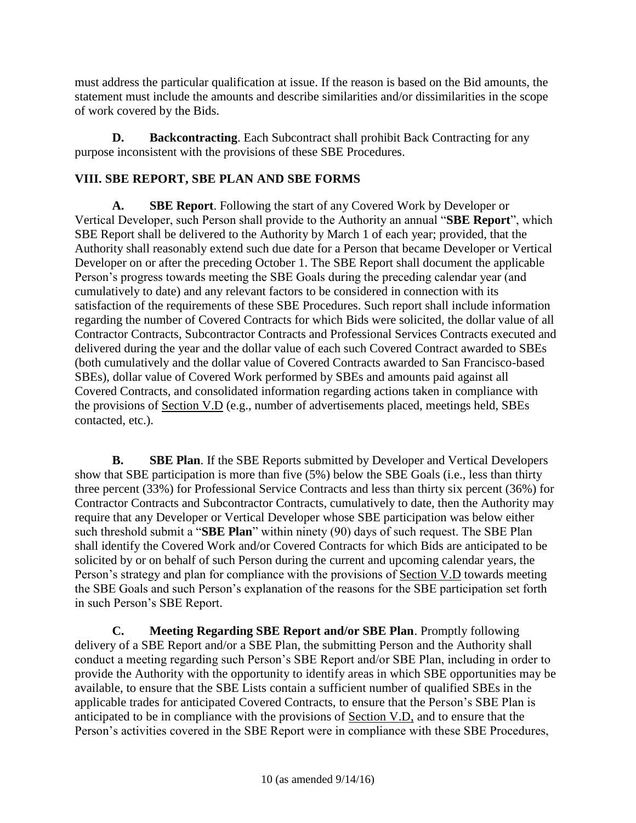must address the particular qualification at issue. If the reason is based on the Bid amounts, the statement must include the amounts and describe similarities and/or dissimilarities in the scope of work covered by the Bids.

**D. Backcontracting**. Each Subcontract shall prohibit Back Contracting for any purpose inconsistent with the provisions of these SBE Procedures.

# **VIII. SBE REPORT, SBE PLAN AND SBE FORMS**

**A. SBE Report**. Following the start of any Covered Work by Developer or Vertical Developer, such Person shall provide to the Authority an annual "**SBE Report**", which SBE Report shall be delivered to the Authority by March 1 of each year; provided, that the Authority shall reasonably extend such due date for a Person that became Developer or Vertical Developer on or after the preceding October 1. The SBE Report shall document the applicable Person's progress towards meeting the SBE Goals during the preceding calendar year (and cumulatively to date) and any relevant factors to be considered in connection with its satisfaction of the requirements of these SBE Procedures. Such report shall include information regarding the number of Covered Contracts for which Bids were solicited, the dollar value of all Contractor Contracts, Subcontractor Contracts and Professional Services Contracts executed and delivered during the year and the dollar value of each such Covered Contract awarded to SBEs (both cumulatively and the dollar value of Covered Contracts awarded to San Francisco-based SBEs), dollar value of Covered Work performed by SBEs and amounts paid against all Covered Contracts, and consolidated information regarding actions taken in compliance with the provisions of Section V.D (e.g., number of advertisements placed, meetings held, SBEs contacted, etc.).

**B. SBE Plan**. If the SBE Reports submitted by Developer and Vertical Developers show that SBE participation is more than five (5%) below the SBE Goals (i.e., less than thirty three percent (33%) for Professional Service Contracts and less than thirty six percent (36%) for Contractor Contracts and Subcontractor Contracts, cumulatively to date, then the Authority may require that any Developer or Vertical Developer whose SBE participation was below either such threshold submit a "**SBE Plan**" within ninety (90) days of such request. The SBE Plan shall identify the Covered Work and/or Covered Contracts for which Bids are anticipated to be solicited by or on behalf of such Person during the current and upcoming calendar years, the Person's strategy and plan for compliance with the provisions of Section V.D towards meeting the SBE Goals and such Person's explanation of the reasons for the SBE participation set forth in such Person's SBE Report.

**C. Meeting Regarding SBE Report and/or SBE Plan**. Promptly following delivery of a SBE Report and/or a SBE Plan, the submitting Person and the Authority shall conduct a meeting regarding such Person's SBE Report and/or SBE Plan, including in order to provide the Authority with the opportunity to identify areas in which SBE opportunities may be available, to ensure that the SBE Lists contain a sufficient number of qualified SBEs in the applicable trades for anticipated Covered Contracts, to ensure that the Person's SBE Plan is anticipated to be in compliance with the provisions of Section V.D, and to ensure that the Person's activities covered in the SBE Report were in compliance with these SBE Procedures,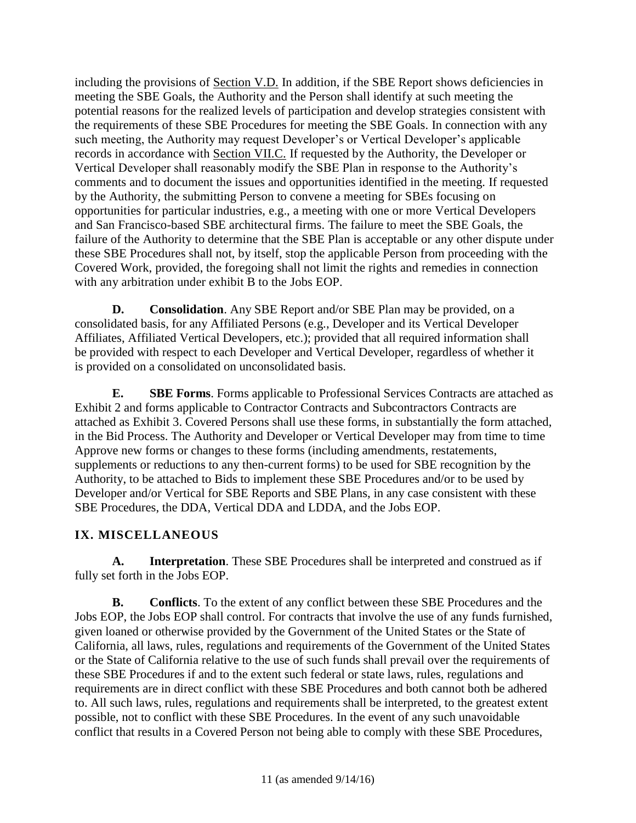including the provisions of <u>Section V.D.</u> In addition, if the SBE Report shows deficiencies in meeting the SBE Goals, the Authority and the Person shall identify at such meeting the potential reasons for the realized levels of participation and develop strategies consistent with the requirements of these SBE Procedures for meeting the SBE Goals. In connection with any such meeting, the Authority may request Developer's or Vertical Developer's applicable records in accordance with Section VII.C. If requested by the Authority, the Developer or Vertical Developer shall reasonably modify the SBE Plan in response to the Authority's comments and to document the issues and opportunities identified in the meeting. If requested by the Authority, the submitting Person to convene a meeting for SBEs focusing on opportunities for particular industries, e.g., a meeting with one or more Vertical Developers and San Francisco-based SBE architectural firms. The failure to meet the SBE Goals, the failure of the Authority to determine that the SBE Plan is acceptable or any other dispute under these SBE Procedures shall not, by itself, stop the applicable Person from proceeding with the Covered Work, provided, the foregoing shall not limit the rights and remedies in connection with any arbitration under exhibit B to the Jobs EOP.

**D. Consolidation**. Any SBE Report and/or SBE Plan may be provided, on a consolidated basis, for any Affiliated Persons (e.g., Developer and its Vertical Developer Affiliates, Affiliated Vertical Developers, etc.); provided that all required information shall be provided with respect to each Developer and Vertical Developer, regardless of whether it is provided on a consolidated on unconsolidated basis.

**E. SBE Forms**. Forms applicable to Professional Services Contracts are attached as Exhibit 2 and forms applicable to Contractor Contracts and Subcontractors Contracts are attached as Exhibit 3. Covered Persons shall use these forms, in substantially the form attached, in the Bid Process. The Authority and Developer or Vertical Developer may from time to time Approve new forms or changes to these forms (including amendments, restatements, supplements or reductions to any then-current forms) to be used for SBE recognition by the Authority, to be attached to Bids to implement these SBE Procedures and/or to be used by Developer and/or Vertical for SBE Reports and SBE Plans, in any case consistent with these SBE Procedures, the DDA, Vertical DDA and LDDA, and the Jobs EOP.

# **IX. MISCELLANEOUS**

**A. Interpretation**. These SBE Procedures shall be interpreted and construed as if fully set forth in the Jobs EOP.

**B. Conflicts**. To the extent of any conflict between these SBE Procedures and the Jobs EOP, the Jobs EOP shall control. For contracts that involve the use of any funds furnished, given loaned or otherwise provided by the Government of the United States or the State of California, all laws, rules, regulations and requirements of the Government of the United States or the State of California relative to the use of such funds shall prevail over the requirements of these SBE Procedures if and to the extent such federal or state laws, rules, regulations and requirements are in direct conflict with these SBE Procedures and both cannot both be adhered to. All such laws, rules, regulations and requirements shall be interpreted, to the greatest extent possible, not to conflict with these SBE Procedures. In the event of any such unavoidable conflict that results in a Covered Person not being able to comply with these SBE Procedures,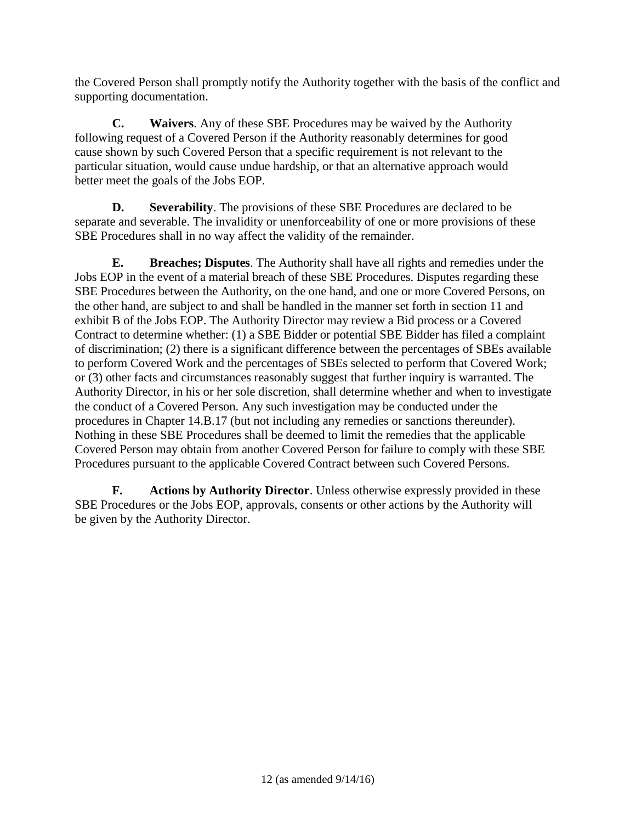the Covered Person shall promptly notify the Authority together with the basis of the conflict and supporting documentation.

**C. Waivers**. Any of these SBE Procedures may be waived by the Authority following request of a Covered Person if the Authority reasonably determines for good cause shown by such Covered Person that a specific requirement is not relevant to the particular situation, would cause undue hardship, or that an alternative approach would better meet the goals of the Jobs EOP.

**D. Severability**. The provisions of these SBE Procedures are declared to be separate and severable. The invalidity or unenforceability of one or more provisions of these SBE Procedures shall in no way affect the validity of the remainder.

**E. Breaches; Disputes**. The Authority shall have all rights and remedies under the Jobs EOP in the event of a material breach of these SBE Procedures. Disputes regarding these SBE Procedures between the Authority, on the one hand, and one or more Covered Persons, on the other hand, are subject to and shall be handled in the manner set forth in section 11 and exhibit B of the Jobs EOP. The Authority Director may review a Bid process or a Covered Contract to determine whether: (1) a SBE Bidder or potential SBE Bidder has filed a complaint of discrimination; (2) there is a significant difference between the percentages of SBEs available to perform Covered Work and the percentages of SBEs selected to perform that Covered Work; or (3) other facts and circumstances reasonably suggest that further inquiry is warranted. The Authority Director, in his or her sole discretion, shall determine whether and when to investigate the conduct of a Covered Person. Any such investigation may be conducted under the procedures in Chapter 14.B.17 (but not including any remedies or sanctions thereunder). Nothing in these SBE Procedures shall be deemed to limit the remedies that the applicable Covered Person may obtain from another Covered Person for failure to comply with these SBE Procedures pursuant to the applicable Covered Contract between such Covered Persons.

**F. Actions by Authority Director**. Unless otherwise expressly provided in these SBE Procedures or the Jobs EOP, approvals, consents or other actions by the Authority will be given by the Authority Director.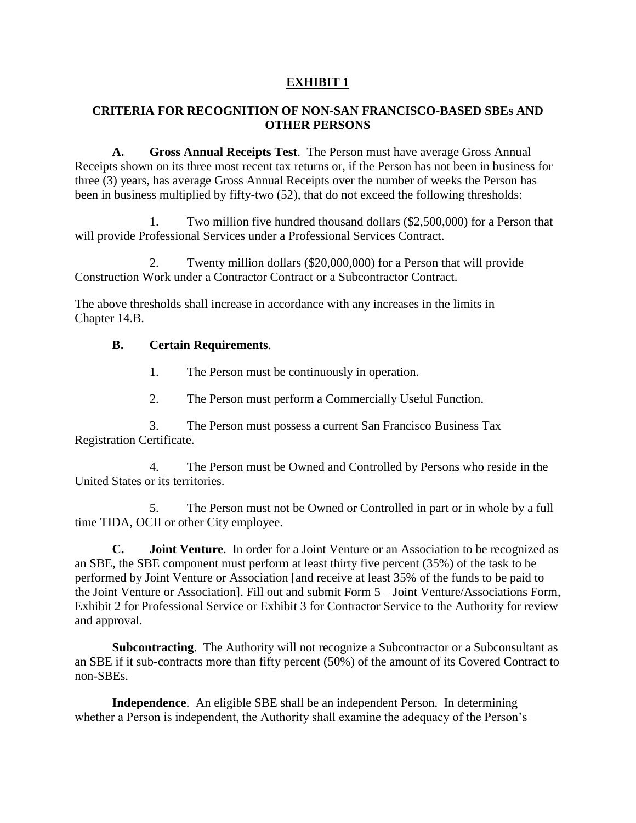# **EXHIBIT 1**

## **CRITERIA FOR RECOGNITION OF NON-SAN FRANCISCO-BASED SBEs AND OTHER PERSONS**

**A. Gross Annual Receipts Test**. The Person must have average Gross Annual Receipts shown on its three most recent tax returns or, if the Person has not been in business for three (3) years, has average Gross Annual Receipts over the number of weeks the Person has been in business multiplied by fifty-two (52), that do not exceed the following thresholds:

1. Two million five hundred thousand dollars (\$2,500,000) for a Person that will provide Professional Services under a Professional Services Contract.

2. Twenty million dollars (\$20,000,000) for a Person that will provide Construction Work under a Contractor Contract or a Subcontractor Contract.

The above thresholds shall increase in accordance with any increases in the limits in Chapter 14.B.

## **B. Certain Requirements**.

- 1. The Person must be continuously in operation.
- 2. The Person must perform a Commercially Useful Function.

3. The Person must possess a current San Francisco Business Tax Registration Certificate.

4. The Person must be Owned and Controlled by Persons who reside in the United States or its territories.

5. The Person must not be Owned or Controlled in part or in whole by a full time TIDA, OCII or other City employee.

**C. Joint Venture**. In order for a Joint Venture or an Association to be recognized as an SBE, the SBE component must perform at least thirty five percent (35%) of the task to be performed by Joint Venture or Association [and receive at least 35% of the funds to be paid to the Joint Venture or Association]. Fill out and submit Form 5 – Joint Venture/Associations Form, Exhibit 2 for Professional Service or Exhibit 3 for Contractor Service to the Authority for review and approval.

**Subcontracting**. The Authority will not recognize a Subcontractor or a Subconsultant as an SBE if it sub-contracts more than fifty percent (50%) of the amount of its Covered Contract to non-SBEs.

**Independence**. An eligible SBE shall be an independent Person. In determining whether a Person is independent, the Authority shall examine the adequacy of the Person's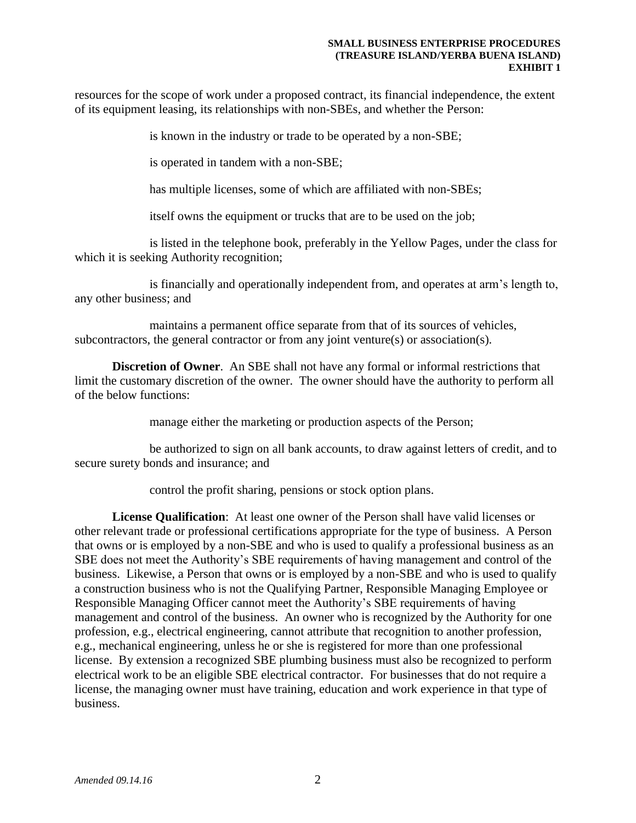resources for the scope of work under a proposed contract, its financial independence, the extent of its equipment leasing, its relationships with non-SBEs, and whether the Person:

is known in the industry or trade to be operated by a non-SBE;

is operated in tandem with a non-SBE;

has multiple licenses, some of which are affiliated with non-SBEs;

itself owns the equipment or trucks that are to be used on the job;

is listed in the telephone book, preferably in the Yellow Pages, under the class for which it is seeking Authority recognition;

is financially and operationally independent from, and operates at arm's length to, any other business; and

maintains a permanent office separate from that of its sources of vehicles, subcontractors, the general contractor or from any joint venture(s) or association(s).

**Discretion of Owner.** An SBE shall not have any formal or informal restrictions that limit the customary discretion of the owner. The owner should have the authority to perform all of the below functions:

manage either the marketing or production aspects of the Person;

be authorized to sign on all bank accounts, to draw against letters of credit, and to secure surety bonds and insurance; and

control the profit sharing, pensions or stock option plans.

**License Qualification**: At least one owner of the Person shall have valid licenses or other relevant trade or professional certifications appropriate for the type of business. A Person that owns or is employed by a non-SBE and who is used to qualify a professional business as an SBE does not meet the Authority's SBE requirements of having management and control of the business. Likewise, a Person that owns or is employed by a non-SBE and who is used to qualify a construction business who is not the Qualifying Partner, Responsible Managing Employee or Responsible Managing Officer cannot meet the Authority's SBE requirements of having management and control of the business. An owner who is recognized by the Authority for one profession, e.g., electrical engineering, cannot attribute that recognition to another profession, e.g., mechanical engineering, unless he or she is registered for more than one professional license. By extension a recognized SBE plumbing business must also be recognized to perform electrical work to be an eligible SBE electrical contractor. For businesses that do not require a license, the managing owner must have training, education and work experience in that type of business.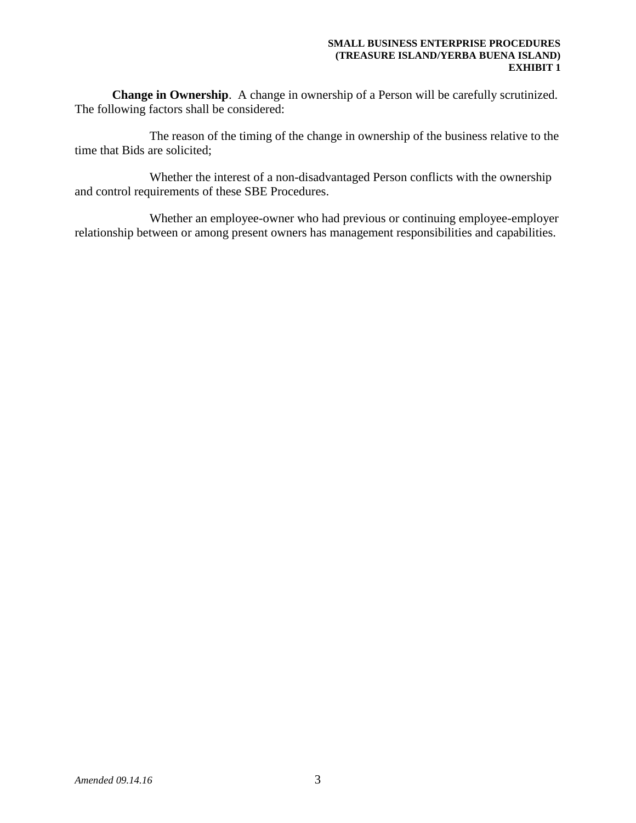**Change in Ownership**. A change in ownership of a Person will be carefully scrutinized. The following factors shall be considered:

The reason of the timing of the change in ownership of the business relative to the time that Bids are solicited;

Whether the interest of a non-disadvantaged Person conflicts with the ownership and control requirements of these SBE Procedures.

Whether an employee-owner who had previous or continuing employee-employer relationship between or among present owners has management responsibilities and capabilities.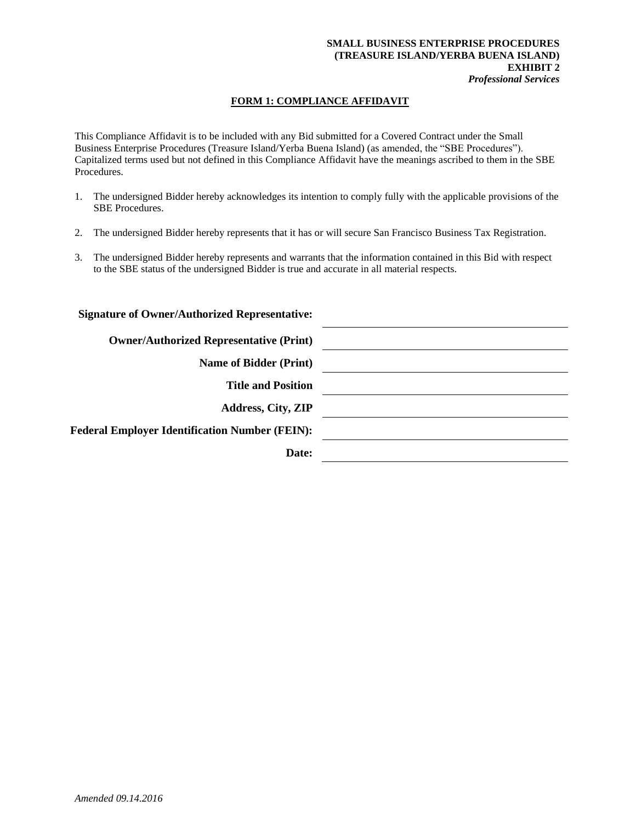#### **SMALL BUSINESS ENTERPRISE PROCEDURES (TREASURE ISLAND/YERBA BUENA ISLAND) EXHIBIT 2** *Professional Services*

### **FORM 1: COMPLIANCE AFFIDAVIT**

This Compliance Affidavit is to be included with any Bid submitted for a Covered Contract under the Small Business Enterprise Procedures (Treasure Island/Yerba Buena Island) (as amended, the "SBE Procedures"). Capitalized terms used but not defined in this Compliance Affidavit have the meanings ascribed to them in the SBE Procedures.

- 1. The undersigned Bidder hereby acknowledges its intention to comply fully with the applicable provisions of the SBE Procedures.
- 2. The undersigned Bidder hereby represents that it has or will secure San Francisco Business Tax Registration.
- 3. The undersigned Bidder hereby represents and warrants that the information contained in this Bid with respect to the SBE status of the undersigned Bidder is true and accurate in all material respects.

| <b>Signature of Owner/Authorized Representative:</b>  |  |
|-------------------------------------------------------|--|
| <b>Owner/Authorized Representative (Print)</b>        |  |
| <b>Name of Bidder (Print)</b>                         |  |
| <b>Title and Position</b>                             |  |
| <b>Address, City, ZIP</b>                             |  |
| <b>Federal Employer Identification Number (FEIN):</b> |  |
| Date:                                                 |  |
|                                                       |  |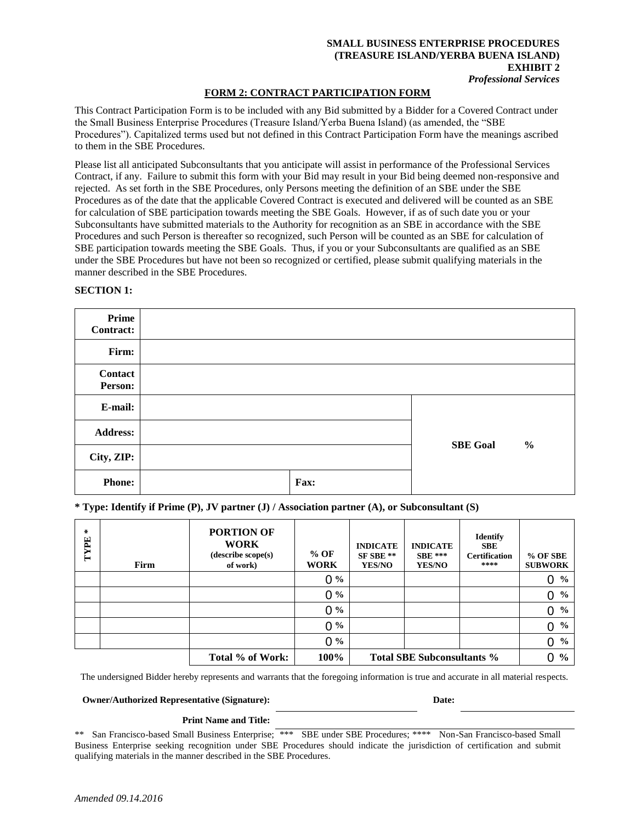#### **SMALL BUSINESS ENTERPRISE PROCEDURES (TREASURE ISLAND/YERBA BUENA ISLAND) EXHIBIT 2** *Professional Services*

#### **FORM 2: CONTRACT PARTICIPATION FORM**

This Contract Participation Form is to be included with any Bid submitted by a Bidder for a Covered Contract under the Small Business Enterprise Procedures (Treasure Island/Yerba Buena Island) (as amended, the "SBE Procedures"). Capitalized terms used but not defined in this Contract Participation Form have the meanings ascribed to them in the SBE Procedures.

Please list all anticipated Subconsultants that you anticipate will assist in performance of the Professional Services Contract, if any. Failure to submit this form with your Bid may result in your Bid being deemed non-responsive and rejected. As set forth in the SBE Procedures, only Persons meeting the definition of an SBE under the SBE Procedures as of the date that the applicable Covered Contract is executed and delivered will be counted as an SBE for calculation of SBE participation towards meeting the SBE Goals. However, if as of such date you or your Subconsultants have submitted materials to the Authority for recognition as an SBE in accordance with the SBE Procedures and such Person is thereafter so recognized, such Person will be counted as an SBE for calculation of SBE participation towards meeting the SBE Goals. Thus, if you or your Subconsultants are qualified as an SBE under the SBE Procedures but have not been so recognized or certified, please submit qualifying materials in the manner described in the SBE Procedures.

| Prime<br><b>Contract:</b> |      |                 |
|---------------------------|------|-----------------|
| Firm:                     |      |                 |
| Contact<br>Person:        |      |                 |
| E-mail:                   |      |                 |
| <b>Address:</b>           |      | <b>SBE Goal</b> |
| City, ZIP:                |      | $\frac{0}{0}$   |
| <b>Phone:</b>             | Fax: |                 |

#### **SECTION 1:**

**\* Type: Identify if Prime (P), JV partner (J) / Association partner (A), or Subconsultant (S)**

| $\chi$<br>TYPE                                                                                                                      | Firm                                                                                                                                                                                                                                                                                                                | <b>PORTION OF</b><br><b>WORK</b><br>(describe scope(s)<br>of work) | $%$ OF<br><b>WORK</b> | <b>INDICATE</b><br>SF SBE **<br><b>YES/NO</b> | <b>INDICATE</b><br><b>SBE ***</b><br><b>YES/NO</b> | <b>Identify</b><br><b>SBE</b><br><b>Certification</b><br>**** | % OF SBE<br><b>SUBWORK</b>      |
|-------------------------------------------------------------------------------------------------------------------------------------|---------------------------------------------------------------------------------------------------------------------------------------------------------------------------------------------------------------------------------------------------------------------------------------------------------------------|--------------------------------------------------------------------|-----------------------|-----------------------------------------------|----------------------------------------------------|---------------------------------------------------------------|---------------------------------|
|                                                                                                                                     |                                                                                                                                                                                                                                                                                                                     |                                                                    | $0\%$                 |                                               |                                                    |                                                               | 0 <sup>9</sup> / <sub>0</sub>   |
|                                                                                                                                     |                                                                                                                                                                                                                                                                                                                     |                                                                    | $0\%$                 |                                               |                                                    |                                                               | $0 \frac{9}{6}$                 |
|                                                                                                                                     |                                                                                                                                                                                                                                                                                                                     |                                                                    | $0\%$                 |                                               |                                                    |                                                               | $\frac{0}{0}$<br>$\overline{0}$ |
|                                                                                                                                     |                                                                                                                                                                                                                                                                                                                     |                                                                    | $0\%$                 |                                               |                                                    |                                                               | $\frac{6}{9}$<br>0              |
|                                                                                                                                     |                                                                                                                                                                                                                                                                                                                     |                                                                    | $0\%$                 |                                               |                                                    |                                                               | $0 \frac{9}{6}$                 |
|                                                                                                                                     |                                                                                                                                                                                                                                                                                                                     | Total % of Work:                                                   | 100%                  |                                               | <b>Total SBE Subconsultants %</b>                  |                                                               | $0\%$                           |
| The undersigned Bidder hereby represents and warrants that the foregoing information is true and accurate in all material respects. |                                                                                                                                                                                                                                                                                                                     |                                                                    |                       |                                               |                                                    |                                                               |                                 |
| <b>Owner/Authorized Representative (Signature):</b><br>Date:                                                                        |                                                                                                                                                                                                                                                                                                                     |                                                                    |                       |                                               |                                                    |                                                               |                                 |
| <b>Print Name and Title:</b>                                                                                                        |                                                                                                                                                                                                                                                                                                                     |                                                                    |                       |                                               |                                                    |                                                               |                                 |
| **                                                                                                                                  | San Francisco-based Small Business Enterprise; *** SBE under SBE Procedures; **** Non-San Francisco-based Small<br>Business Enterprise seeking recognition under SBE Procedures should indicate the jurisdiction of certification and submit<br>qualifying materials in the manner described in the SBE Procedures. |                                                                    |                       |                                               |                                                    |                                                               |                                 |

#### **Print Name and Title:**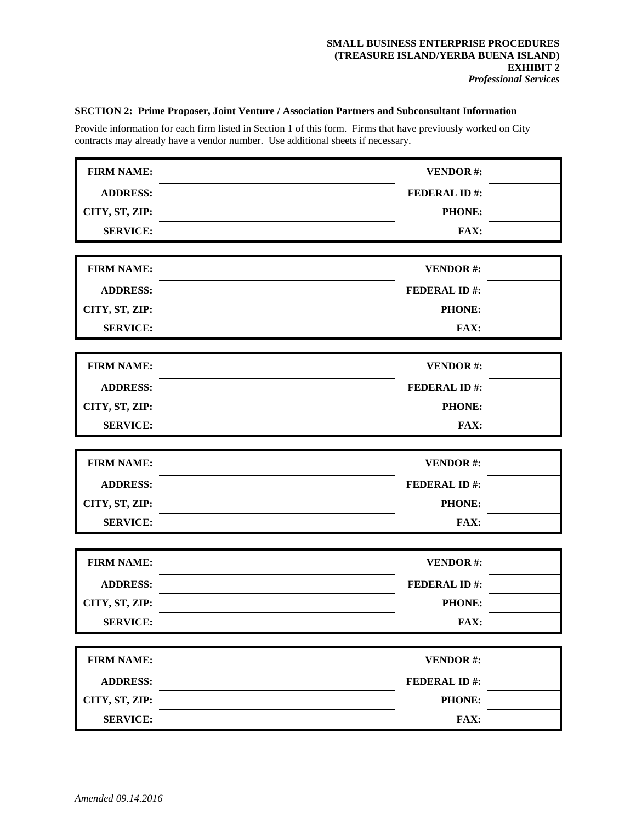### **SECTION 2: Prime Proposer, Joint Venture / Association Partners and Subconsultant Information**

Provide information for each firm listed in Section 1 of this form. Firms that have previously worked on City contracts may already have a vendor number. Use additional sheets if necessary.

| <b>FIRM NAME:</b> | <b>VENDOR#:</b>     |  |  |
|-------------------|---------------------|--|--|
|                   |                     |  |  |
| <b>ADDRESS:</b>   | <b>FEDERAL ID#:</b> |  |  |
| CITY, ST, ZIP:    | <b>PHONE:</b>       |  |  |
| <b>SERVICE:</b>   | FAX:                |  |  |
| <b>FIRM NAME:</b> | <b>VENDOR#:</b>     |  |  |
| <b>ADDRESS:</b>   | <b>FEDERAL ID#:</b> |  |  |
| CITY, ST, ZIP:    | <b>PHONE:</b>       |  |  |
| <b>SERVICE:</b>   | FAX:                |  |  |
| <b>FIRM NAME:</b> | <b>VENDOR#:</b>     |  |  |
| <b>ADDRESS:</b>   | <b>FEDERAL ID#:</b> |  |  |
| CITY, ST, ZIP:    | PHONE:              |  |  |
| <b>SERVICE:</b>   | FAX:                |  |  |
|                   |                     |  |  |
| <b>FIRM NAME:</b> | <b>VENDOR#:</b>     |  |  |
| <b>ADDRESS:</b>   | <b>FEDERAL ID#:</b> |  |  |
| CITY, ST, ZIP:    | <b>PHONE:</b>       |  |  |
| <b>SERVICE:</b>   | FAX:                |  |  |
|                   |                     |  |  |
| <b>FIRM NAME:</b> | <b>VENDOR#:</b>     |  |  |
| <b>ADDRESS:</b>   | <b>FEDERAL ID#:</b> |  |  |
| CITY, ST, ZIP:    | <b>PHONE:</b>       |  |  |
| <b>SERVICE:</b>   | FAX:                |  |  |
| <b>FIRM NAME:</b> | <b>VENDOR#:</b>     |  |  |
| <b>ADDRESS:</b>   | <b>FEDERAL ID#:</b> |  |  |
| CITY, ST, ZIP:    | PHONE:              |  |  |
| <b>SERVICE:</b>   | FAX:                |  |  |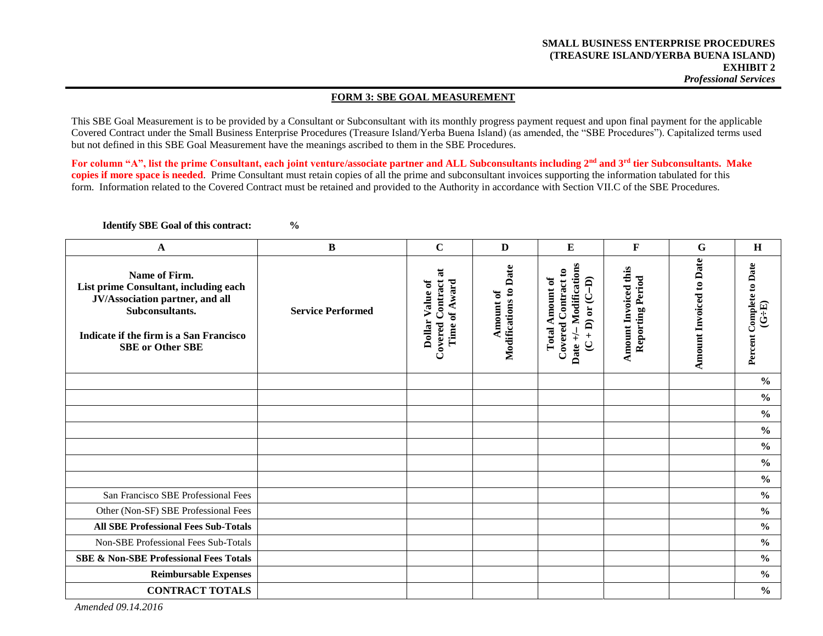#### **FORM 3: SBE GOAL MEASUREMENT**

This SBE Goal Measurement is to be provided by a Consultant or Subconsultant with its monthly progress payment request and upon final payment for the applicable Covered Contract under the Small Business Enterprise Procedures (Treasure Island/Yerba Buena Island) (as amended, the "SBE Procedures"). Capitalized terms used but not defined in this SBE Goal Measurement have the meanings ascribed to them in the SBE Procedures.

**For column "A", list the prime Consultant, each joint venture/associate partner and ALL Subconsultants including 2nd and 3rd tier Subconsultants. Make copies if more space is needed**. Prime Consultant must retain copies of all the prime and subconsultant invoices supporting the information tabulated for this form. Information related to the Covered Contract must be retained and provided to the Authority in accordance with Section VII.C of the SBE Procedures.

**Identify SBE Goal of this contract: %**

**A B C D E F G H Amount Invoiced to Date Amount Invoiced to Date** Date +/- Modifications Percent Complete to Date **Amount of**<br>**Modifications to Date Date +/ Modifications Amount Invoiced this Percent Complete to Date Modifications to Date** Amount Invoiced this **Covered Contract to**   $\overline{\bf a}$ **Covered Contract to Covered Contract at Name of Firm. Reporting Period Reporting Period Total Amount of Total Amount of D)** Dollar Value of **Dollar Value of**  Covered Contract Time of Award **Time of Award List prime Consultant, including each JV/Association partner, and all (C + D) or (C (G÷E) Subconsultants. Service Performed Indicate if the firm is a San Francisco SBE or Other SBE % % % % % % %** San Francisco SBE Professional Fees **%** Other (Non-SF) SBE Professional Fees **% All SBE Professional Fees Sub-Totals %** Non-SBE Professional Fees Sub-Totals **% SBE & Non-SBE Professional Fees Totals % Reimbursable Expenses % CONTRACT TOTALS %**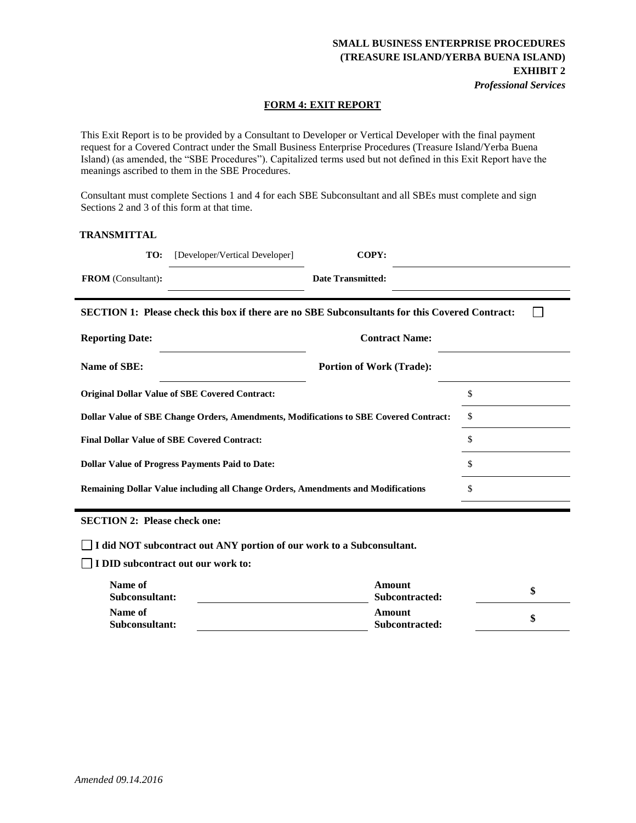*Professional Services*

#### **FORM 4: EXIT REPORT**

This Exit Report is to be provided by a Consultant to Developer or Vertical Developer with the final payment request for a Covered Contract under the Small Business Enterprise Procedures (Treasure Island/Yerba Buena Island) (as amended, the "SBE Procedures"). Capitalized terms used but not defined in this Exit Report have the meanings ascribed to them in the SBE Procedures.

Consultant must complete Sections 1 and 4 for each SBE Subconsultant and all SBEs must complete and sign Sections 2 and 3 of this form at that time.

### **TRANSMITTAL**

| TO:                       | [Developer/Vertical Developer] | COPY:                    |  |
|---------------------------|--------------------------------|--------------------------|--|
| <b>FROM</b> (Consultant): |                                | <b>Date Transmitted:</b> |  |

 $\Box$ **SECTION 1: Please check this box if there are no SBE Subconsultants for this Covered Contract:**

| <b>Reporting Date:</b>                                                                | <b>Contract Name:</b>           |    |
|---------------------------------------------------------------------------------------|---------------------------------|----|
| Name of SBE:                                                                          | <b>Portion of Work (Trade):</b> |    |
| <b>Original Dollar Value of SBE Covered Contract:</b>                                 |                                 | \$ |
| Dollar Value of SBE Change Orders, Amendments, Modifications to SBE Covered Contract: |                                 | \$ |
| <b>Final Dollar Value of SBE Covered Contract:</b>                                    |                                 | \$ |
| <b>Dollar Value of Progress Payments Paid to Date:</b>                                |                                 | \$ |
| Remaining Dollar Value including all Change Orders, Amendments and Modifications      |                                 | \$ |

**SECTION 2: Please check one:** 

**I did NOT subcontract out ANY portion of our work to a Subconsultant.** 

**I DID subcontract out our work to:** 

| Name of<br>Subconsultant: | Amount<br>Subcontracted: |  |
|---------------------------|--------------------------|--|
| Name of<br>Subconsultant: | Amount<br>Subcontracted: |  |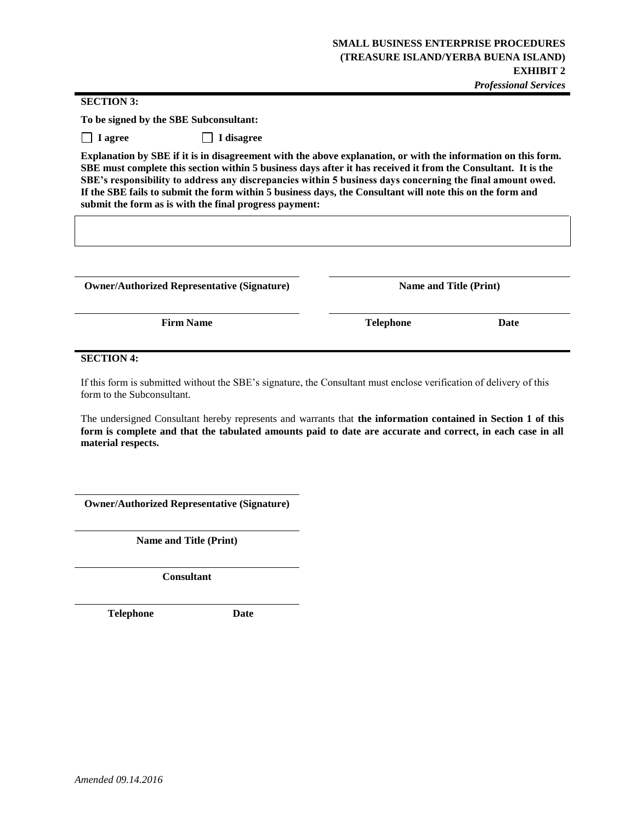**SECTION 3:** 

**To be signed by the SBE Subconsultant:**

 **I agree I disagree**

**Explanation by SBE if it is in disagreement with the above explanation, or with the information on this form. SBE must complete this section within 5 business days after it has received it from the Consultant. It is the SBE's responsibility to address any discrepancies within 5 business days concerning the final amount owed. If the SBE fails to submit the form within 5 business days, the Consultant will note this on the form and submit the form as is with the final progress payment:**

**Owner/Authorized Representative (Signature) Name and Title (Print)**

**Firm Name Date Date Telephone Date** 

#### **SECTION 4:**

If this form is submitted without the SBE's signature, the Consultant must enclose verification of delivery of this form to the Subconsultant.

The undersigned Consultant hereby represents and warrants that **the information contained in Section 1 of this form is complete and that the tabulated amounts paid to date are accurate and correct, in each case in all material respects.**

**Owner/Authorized Representative (Signature)**

**Name and Title (Print)**

**Consultant**

**Telephone Date**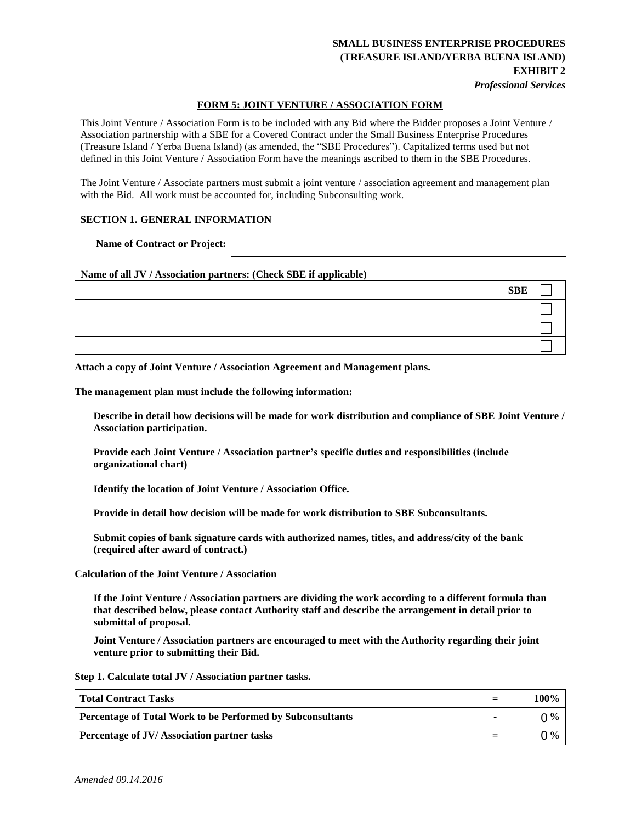*Professional Services*

### **FORM 5: JOINT VENTURE / ASSOCIATION FORM**

This Joint Venture / Association Form is to be included with any Bid where the Bidder proposes a Joint Venture / Association partnership with a SBE for a Covered Contract under the Small Business Enterprise Procedures (Treasure Island / Yerba Buena Island) (as amended, the "SBE Procedures"). Capitalized terms used but not defined in this Joint Venture / Association Form have the meanings ascribed to them in the SBE Procedures.

The Joint Venture / Associate partners must submit a joint venture / association agreement and management plan with the Bid. All work must be accounted for, including Subconsulting work.

#### **SECTION 1. GENERAL INFORMATION**

**Name of Contract or Project:**

**Name of all JV / Association partners: (Check SBE if applicable)**

| <b>SBE</b> |  |
|------------|--|
|            |  |
|            |  |
|            |  |

**Attach a copy of Joint Venture / Association Agreement and Management plans.** 

**The management plan must include the following information:** 

**Describe in detail how decisions will be made for work distribution and compliance of SBE Joint Venture / Association participation.** 

**Provide each Joint Venture / Association partner's specific duties and responsibilities (include organizational chart)** 

**Identify the location of Joint Venture / Association Office.** 

**Provide in detail how decision will be made for work distribution to SBE Subconsultants.** 

**Submit copies of bank signature cards with authorized names, titles, and address/city of the bank (required after award of contract.)** 

**Calculation of the Joint Venture / Association** 

**If the Joint Venture / Association partners are dividing the work according to a different formula than that described below, please contact Authority staff and describe the arrangement in detail prior to submittal of proposal.** 

**Joint Venture / Association partners are encouraged to meet with the Authority regarding their joint venture prior to submitting their Bid.** 

**Step 1. Calculate total JV / Association partner tasks.**

| <b>Total Contract Tasks</b>                                       | 100% |
|-------------------------------------------------------------------|------|
| <b>Percentage of Total Work to be Performed by Subconsultants</b> | በ%   |
| <b>Percentage of JV/Association partner tasks</b>                 | በ%   |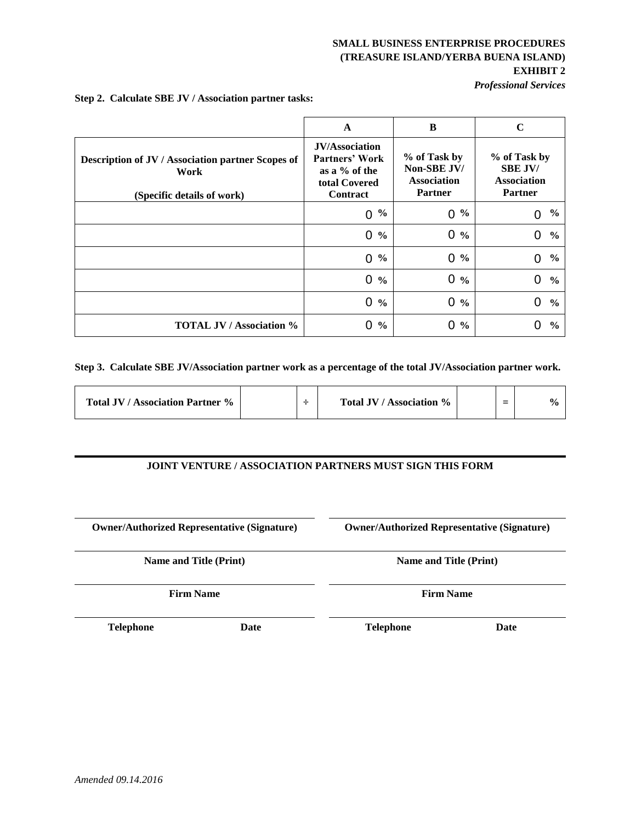*Professional Services*

|                                                                                         | A                                                                                     | B                                                                   | $\mathbf C$                                                            |
|-----------------------------------------------------------------------------------------|---------------------------------------------------------------------------------------|---------------------------------------------------------------------|------------------------------------------------------------------------|
| Description of JV / Association partner Scopes of<br>Work<br>(Specific details of work) | <b>JV/Association</b><br>Partners' Work<br>as a % of the<br>total Covered<br>Contract | % of Task by<br>Non-SBE JV/<br><b>Association</b><br><b>Partner</b> | % of Task by<br><b>SBE JV/</b><br><b>Association</b><br><b>Partner</b> |
|                                                                                         | $\frac{0}{0}$                                                                         | $\frac{6}{9}$                                                       | $\%$                                                                   |
|                                                                                         | $\Omega$                                                                              | $\overline{0}$                                                      | 0                                                                      |
|                                                                                         | $\frac{6}{6}$                                                                         | 0                                                                   | $\overline{0}$                                                         |
|                                                                                         | 0                                                                                     | $\frac{0}{0}$                                                       | $\frac{6}{6}$                                                          |
|                                                                                         | $\frac{6}{6}$                                                                         | $\Omega$                                                            | $\%$                                                                   |
|                                                                                         | 0                                                                                     | $\frac{0}{0}$                                                       | $\mathbf 0$                                                            |
|                                                                                         | 0                                                                                     | 0                                                                   | $\overline{0}$                                                         |
|                                                                                         | $\frac{0}{0}$                                                                         | $\frac{0}{0}$                                                       | $\frac{6}{6}$                                                          |
|                                                                                         | $0\%$                                                                                 | $\overline{0}$<br>$\frac{0}{0}$                                     | $\mathbf 0$<br>$\frac{0}{0}$                                           |
| <b>TOTAL JV / Association %</b>                                                         | $\frac{6}{9}$                                                                         | 0                                                                   | 0                                                                      |
|                                                                                         | 0                                                                                     | $\frac{6}{6}$                                                       | $\frac{6}{9}$                                                          |

**Step 2. Calculate SBE JV / Association partner tasks:**

**Step 3. Calculate SBE JV/Association partner work as a percentage of the total JV/Association partner work.** 

| <b>Total JV / Association Partner %</b> |  |  | Total JV / Association % |  |  | $\mathbf{O}_{\mathbf{O}}$ |
|-----------------------------------------|--|--|--------------------------|--|--|---------------------------|
|-----------------------------------------|--|--|--------------------------|--|--|---------------------------|

### **JOINT VENTURE / ASSOCIATION PARTNERS MUST SIGN THIS FORM**

|                  | <b>Owner/Authorized Representative (Signature)</b> | <b>Owner/Authorized Representative (Signature)</b> |      |  |
|------------------|----------------------------------------------------|----------------------------------------------------|------|--|
|                  | <b>Name and Title (Print)</b>                      | <b>Name and Title (Print)</b>                      |      |  |
|                  | <b>Firm Name</b>                                   | <b>Firm Name</b>                                   |      |  |
| <b>Telephone</b> | Date                                               | <b>Telephone</b>                                   | Date |  |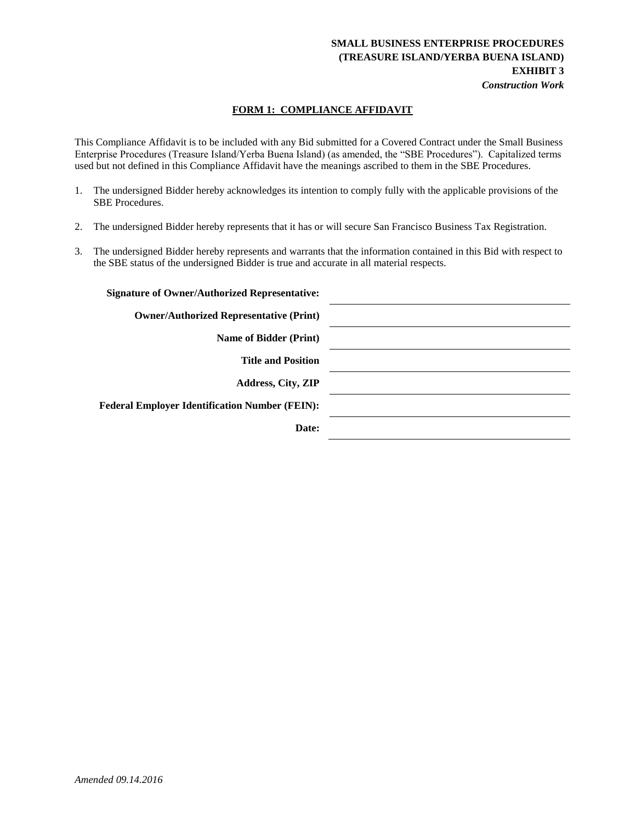### **SMALL BUSINESS ENTERPRISE PROCEDURES (TREASURE ISLAND/YERBA BUENA ISLAND) EXHIBIT 3** *Construction Work*

### **FORM 1: COMPLIANCE AFFIDAVIT**

This Compliance Affidavit is to be included with any Bid submitted for a Covered Contract under the Small Business Enterprise Procedures (Treasure Island/Yerba Buena Island) (as amended, the "SBE Procedures"). Capitalized terms used but not defined in this Compliance Affidavit have the meanings ascribed to them in the SBE Procedures.

- 1. The undersigned Bidder hereby acknowledges its intention to comply fully with the applicable provisions of the SBE Procedures.
- 2. The undersigned Bidder hereby represents that it has or will secure San Francisco Business Tax Registration.
- 3. The undersigned Bidder hereby represents and warrants that the information contained in this Bid with respect to the SBE status of the undersigned Bidder is true and accurate in all material respects.

| <b>Signature of Owner/Authorized Representative:</b>  |  |
|-------------------------------------------------------|--|
| <b>Owner/Authorized Representative (Print)</b>        |  |
| <b>Name of Bidder (Print)</b>                         |  |
| <b>Title and Position</b>                             |  |
| <b>Address, City, ZIP</b>                             |  |
| <b>Federal Employer Identification Number (FEIN):</b> |  |
| Date:                                                 |  |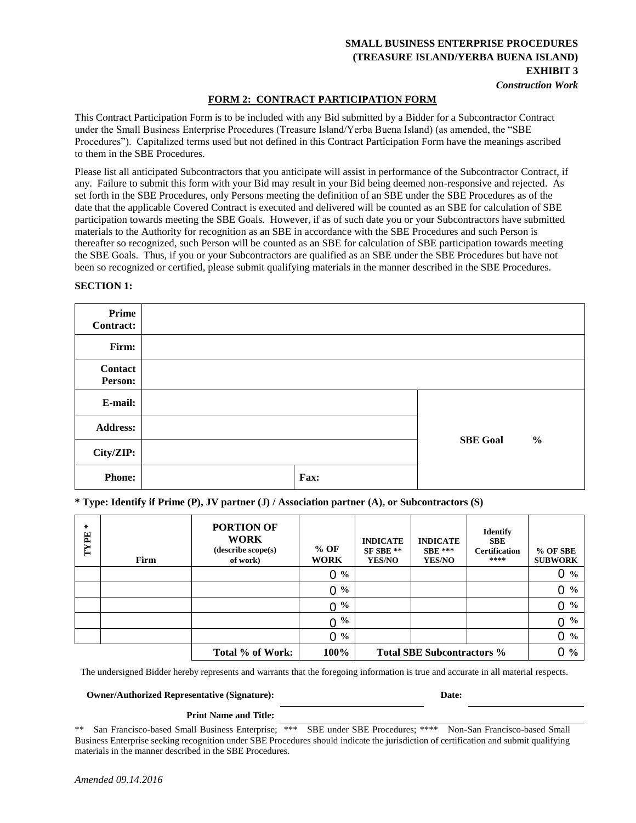### **SMALL BUSINESS ENTERPRISE PROCEDURES (TREASURE ISLAND/YERBA BUENA ISLAND) EXHIBIT 3** *Construction Work*

### **FORM 2: CONTRACT PARTICIPATION FORM**

This Contract Participation Form is to be included with any Bid submitted by a Bidder for a Subcontractor Contract under the Small Business Enterprise Procedures (Treasure Island/Yerba Buena Island) (as amended, the "SBE Procedures"). Capitalized terms used but not defined in this Contract Participation Form have the meanings ascribed to them in the SBE Procedures.

Please list all anticipated Subcontractors that you anticipate will assist in performance of the Subcontractor Contract, if any. Failure to submit this form with your Bid may result in your Bid being deemed non-responsive and rejected. As set forth in the SBE Procedures, only Persons meeting the definition of an SBE under the SBE Procedures as of the date that the applicable Covered Contract is executed and delivered will be counted as an SBE for calculation of SBE participation towards meeting the SBE Goals. However, if as of such date you or your Subcontractors have submitted materials to the Authority for recognition as an SBE in accordance with the SBE Procedures and such Person is thereafter so recognized, such Person will be counted as an SBE for calculation of SBE participation towards meeting the SBE Goals. Thus, if you or your Subcontractors are qualified as an SBE under the SBE Procedures but have not been so recognized or certified, please submit qualifying materials in the manner described in the SBE Procedures.

| Prime<br><b>Contract:</b> |      |                 |               |
|---------------------------|------|-----------------|---------------|
| Firm:                     |      |                 |               |
| Contact<br>Person:        |      |                 |               |
| E-mail:                   |      |                 |               |
| <b>Address:</b>           |      | <b>SBE Goal</b> |               |
| City/ZIP:                 |      |                 | $\frac{0}{0}$ |
| <b>Phone:</b>             | Fax: |                 |               |

### **SECTION 1:**

**\* Type: Identify if Prime (P), JV partner (J) / Association partner (A), or Subcontractors (S)**

| $\chi$<br>TYPE | Firm | <b>PORTION OF</b><br><b>WORK</b><br>(describe scope(s)<br>of work) | $%$ OF<br><b>WORK</b> | <b>INDICATE</b><br>SF SBE **<br><b>YES/NO</b> | <b>INDICATE</b><br>$SBE***$<br><b>YES/NO</b> | <b>Identify</b><br><b>SBE</b><br><b>Certification</b><br>**** | % OF SBE<br><b>SUBWORK</b>    |
|----------------|------|--------------------------------------------------------------------|-----------------------|-----------------------------------------------|----------------------------------------------|---------------------------------------------------------------|-------------------------------|
|                |      |                                                                    | 0<br>$\frac{6}{6}$    |                                               |                                              |                                                               | $0\%$                         |
|                |      |                                                                    | $\frac{6}{6}$<br>0    |                                               |                                              |                                                               | $0\%$                         |
|                |      |                                                                    | $\frac{6}{10}$<br>0   |                                               |                                              |                                                               | $0 \frac{9}{6}$               |
|                |      |                                                                    | $\frac{6}{6}$<br>0    |                                               |                                              |                                                               | 0 <sup>9</sup> / <sub>0</sub> |
|                |      |                                                                    | $0\%$                 |                                               |                                              |                                                               | $0\%$                         |
|                |      | Total % of Work:                                                   | 100%                  |                                               | <b>Total SBE Subcontractors %</b>            |                                                               | $0\%$                         |

The undersigned Bidder hereby represents and warrants that the foregoing information is true and accurate in all material respects.

**Owner/Authorized Representative (Signature): Date:**

#### **Print Name and Title:**

\*\* San Francisco-based Small Business Enterprise; \*\*\* SBE under SBE Procedures; \*\*\*\* Non-San Francisco-based Small Business Enterprise seeking recognition under SBE Procedures should indicate the jurisdiction of certification and submit qualifying materials in the manner described in the SBE Procedures.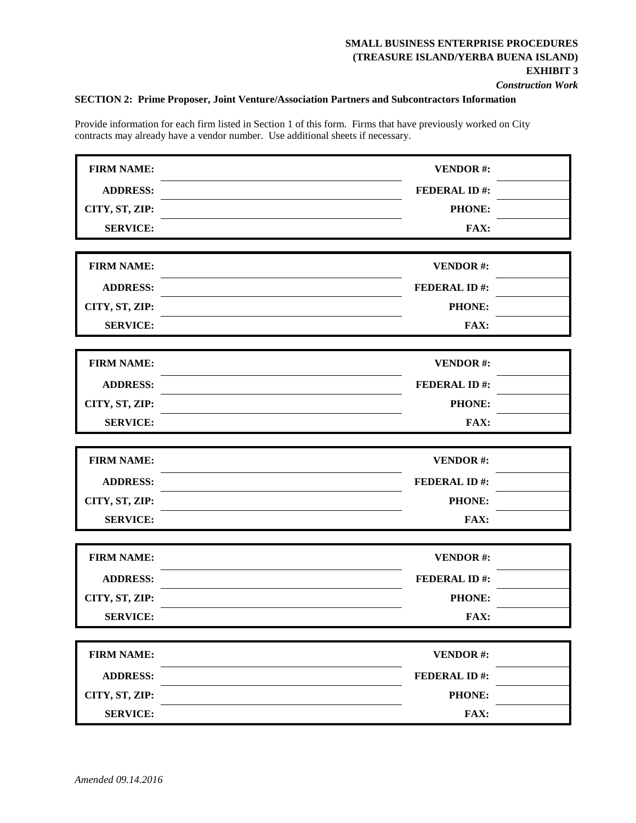*Construction Work* 

### **SECTION 2: Prime Proposer, Joint Venture/Association Partners and Subcontractors Information**

Provide information for each firm listed in Section 1 of this form. Firms that have previously worked on City contracts may already have a vendor number. Use additional sheets if necessary.

| <b>FIRM NAME:</b> | <b>VENDOR#:</b>     |  |
|-------------------|---------------------|--|
| <b>ADDRESS:</b>   | <b>FEDERAL ID#:</b> |  |
| CITY, ST, ZIP:    | PHONE:              |  |
| <b>SERVICE:</b>   | FAX:                |  |
|                   |                     |  |
| <b>FIRM NAME:</b> | <b>VENDOR#:</b>     |  |
| <b>ADDRESS:</b>   | <b>FEDERAL ID#:</b> |  |
| CITY, ST, ZIP:    | <b>PHONE:</b>       |  |
| <b>SERVICE:</b>   | FAX:                |  |
| <b>FIRM NAME:</b> | <b>VENDOR#:</b>     |  |
| <b>ADDRESS:</b>   | <b>FEDERAL ID#:</b> |  |
| CITY, ST, ZIP:    | PHONE:              |  |
| <b>SERVICE:</b>   | FAX:                |  |
|                   |                     |  |
| <b>FIRM NAME:</b> | <b>VENDOR#:</b>     |  |
| <b>ADDRESS:</b>   | <b>FEDERAL ID#:</b> |  |
| CITY, ST, ZIP:    | <b>PHONE:</b>       |  |
| <b>SERVICE:</b>   | FAX:                |  |
|                   |                     |  |
| <b>FIRM NAME:</b> | <b>VENDOR#:</b>     |  |
| <b>ADDRESS:</b>   | <b>FEDERAL ID#:</b> |  |
| CITY, ST, ZIP:    | PHONE:              |  |
| <b>SERVICE:</b>   | FAX:                |  |
| <b>FIRM NAME:</b> | <b>VENDOR#:</b>     |  |
| <b>ADDRESS:</b>   | <b>FEDERAL ID#:</b> |  |
| CITY, ST, ZIP:    | PHONE:              |  |
|                   |                     |  |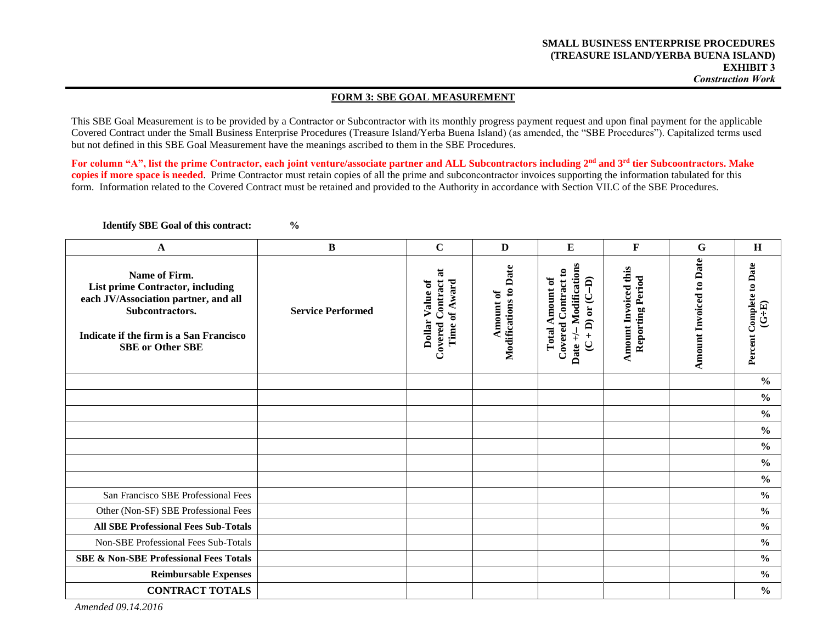#### **FORM 3: SBE GOAL MEASUREMENT**

This SBE Goal Measurement is to be provided by a Contractor or Subcontractor with its monthly progress payment request and upon final payment for the applicable Covered Contract under the Small Business Enterprise Procedures (Treasure Island/Yerba Buena Island) (as amended, the "SBE Procedures"). Capitalized terms used but not defined in this SBE Goal Measurement have the meanings ascribed to them in the SBE Procedures.

For column "A", list the prime Contractor, each joint venture/associate partner and ALL Subcontractors including 2<sup>nd</sup> and 3<sup>rd</sup> tier Subcoontractors. Make **copies if more space is needed**. Prime Contractor must retain copies of all the prime and subconcontractor invoices supporting the information tabulated for this form. Information related to the Covered Contract must be retained and provided to the Authority in accordance with Section VII.C of the SBE Procedures.

**Identify SBE Goal of this contract: %**

**A B C D E F G H Amount Invoiced to Date Amount Invoiced to Date** Date +/- Modifications Percent Complete to Date **Amount of**<br>**Modifications to Date Date +/ Modifications Amount Invoiced this Percent Complete to Date Modifications to Date** Amount Invoiced this **Covered Contract to**   $\overline{\bf a}$ **Covered Contract to Covered Contract at Name of Firm. Reporting Period Reporting Period Total Amount of Total Amount of D) Dollar Value of**  Covered Contract Dollar Value of Time of Award **Time of Award List prime Contractor, including each JV/Association partner, and all (C + D) or (C (G÷E) Service Performed Subcontractors. Indicate if the firm is a San Francisco SBE or Other SBE % % % % % % %** San Francisco SBE Professional Fees **%** Other (Non-SF) SBE Professional Fees **% All SBE Professional Fees Sub-Totals %** Non-SBE Professional Fees Sub-Totals **% SBE & Non-SBE Professional Fees Totals % Reimbursable Expenses % CONTRACT TOTALS %**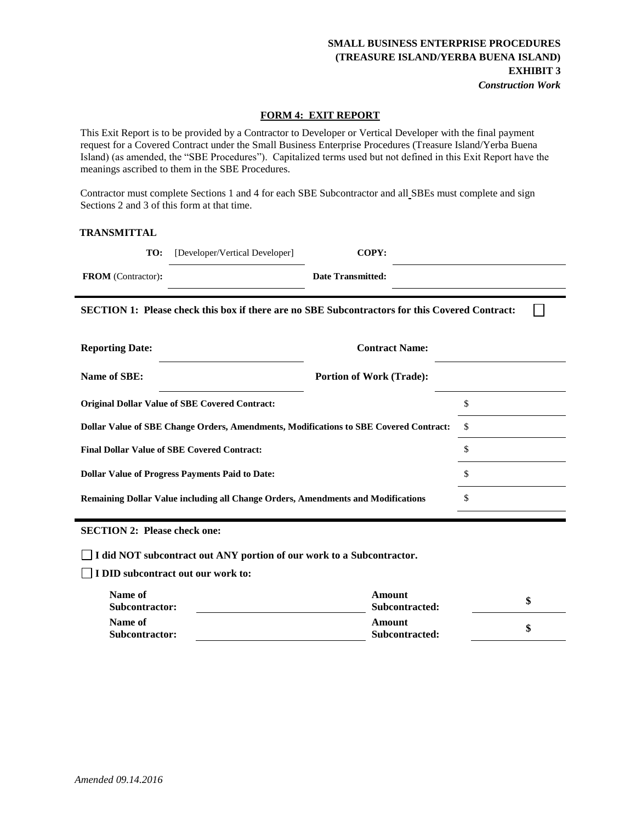### **SMALL BUSINESS ENTERPRISE PROCEDURES (TREASURE ISLAND/YERBA BUENA ISLAND) EXHIBIT 3**  *Construction Work*

П

#### **FORM 4: EXIT REPORT**

This Exit Report is to be provided by a Contractor to Developer or Vertical Developer with the final payment request for a Covered Contract under the Small Business Enterprise Procedures (Treasure Island/Yerba Buena Island) (as amended, the "SBE Procedures"). Capitalized terms used but not defined in this Exit Report have the meanings ascribed to them in the SBE Procedures.

Contractor must complete Sections 1 and 4 for each SBE Subcontractor and all SBEs must complete and sign Sections 2 and 3 of this form at that time.

#### **TRANSMITTAL**

| TO:                       | [Developer/Vertical Developer] | COPY:                    |  |
|---------------------------|--------------------------------|--------------------------|--|
| <b>FROM</b> (Contractor): |                                | <b>Date Transmitted:</b> |  |
|                           |                                |                          |  |

**SECTION 1: Please check this box if there are no SBE Subcontractors for this Covered Contract:**

| <b>Reporting Date:</b>                                                                | <b>Contract Name:</b>           |     |
|---------------------------------------------------------------------------------------|---------------------------------|-----|
| Name of SBE:                                                                          | <b>Portion of Work (Trade):</b> |     |
| <b>Original Dollar Value of SBE Covered Contract:</b>                                 |                                 | \$  |
| Dollar Value of SBE Change Orders, Amendments, Modifications to SBE Covered Contract: |                                 | \$. |
| <b>Final Dollar Value of SBE Covered Contract:</b>                                    |                                 | \$  |
| <b>Dollar Value of Progress Payments Paid to Date:</b>                                |                                 | \$  |
| Remaining Dollar Value including all Change Orders, Amendments and Modifications      |                                 | S   |

**SECTION 2: Please check one:** 

**I did NOT subcontract out ANY portion of our work to a Subcontractor.** 

**I DID subcontract out our work to:** 

| Name of<br><b>Subcontractor:</b> | Amount<br>Subcontracted: |  |
|----------------------------------|--------------------------|--|
| Name of<br>Subcontractor:        | Amount<br>Subcontracted: |  |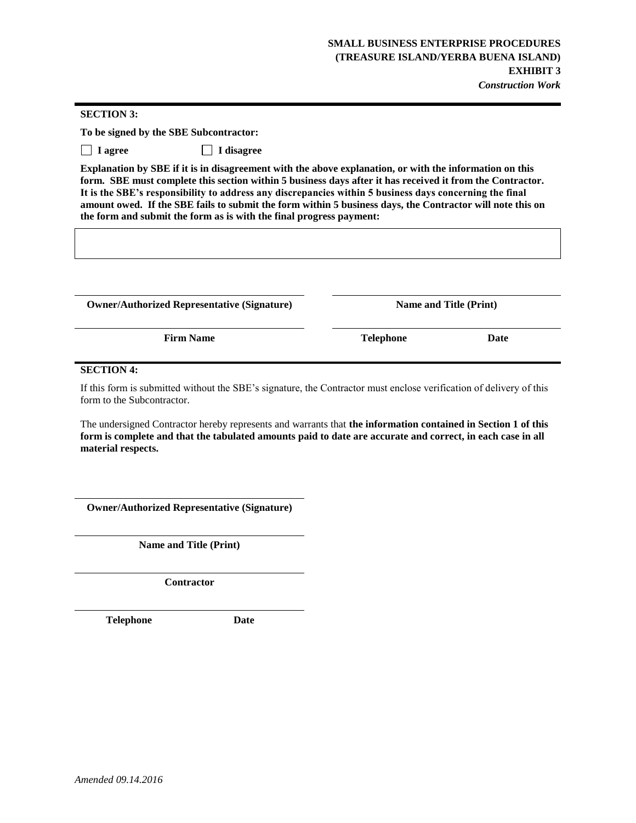#### **SECTION 3:**

**To be signed by the SBE Subcontractor:**

 **I agree I disagree**

**Explanation by SBE if it is in disagreement with the above explanation, or with the information on this form. SBE must complete this section within 5 business days after it has received it from the Contractor. It is the SBE's responsibility to address any discrepancies within 5 business days concerning the final amount owed. If the SBE fails to submit the form within 5 business days, the Contractor will note this on the form and submit the form as is with the final progress payment:**

**Owner/Authorized Representative (Signature) Name and Title (Print)**

**Firm Name Date Telephone Date** 

#### **SECTION 4:**

If this form is submitted without the SBE's signature, the Contractor must enclose verification of delivery of this form to the Subcontractor.

The undersigned Contractor hereby represents and warrants that **the information contained in Section 1 of this form is complete and that the tabulated amounts paid to date are accurate and correct, in each case in all material respects.**

**Owner/Authorized Representative (Signature)**

**Name and Title (Print)**

**Contractor**

**Telephone Date**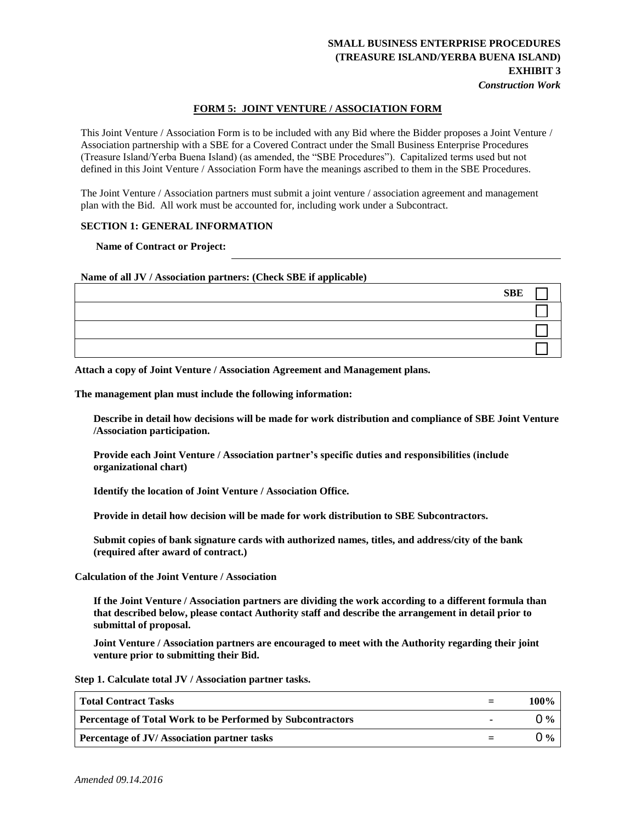#### *Construction Work*

#### **FORM 5: JOINT VENTURE / ASSOCIATION FORM**

This Joint Venture / Association Form is to be included with any Bid where the Bidder proposes a Joint Venture / Association partnership with a SBE for a Covered Contract under the Small Business Enterprise Procedures (Treasure Island/Yerba Buena Island) (as amended, the "SBE Procedures"). Capitalized terms used but not defined in this Joint Venture / Association Form have the meanings ascribed to them in the SBE Procedures.

The Joint Venture / Association partners must submit a joint venture / association agreement and management plan with the Bid. All work must be accounted for, including work under a Subcontract.

#### **SECTION 1: GENERAL INFORMATION**

**Name of Contract or Project:**

**Name of all JV / Association partners: (Check SBE if applicable)**

| <b>SBE</b> |  |
|------------|--|
|            |  |
|            |  |
|            |  |

**Attach a copy of Joint Venture / Association Agreement and Management plans.** 

**The management plan must include the following information:** 

**Describe in detail how decisions will be made for work distribution and compliance of SBE Joint Venture /Association participation.** 

**Provide each Joint Venture / Association partner's specific duties and responsibilities (include organizational chart)** 

**Identify the location of Joint Venture / Association Office.** 

**Provide in detail how decision will be made for work distribution to SBE Subcontractors.** 

**Submit copies of bank signature cards with authorized names, titles, and address/city of the bank (required after award of contract.)** 

**Calculation of the Joint Venture / Association** 

**If the Joint Venture / Association partners are dividing the work according to a different formula than that described below, please contact Authority staff and describe the arrangement in detail prior to submittal of proposal.** 

**Joint Venture / Association partners are encouraged to meet with the Authority regarding their joint venture prior to submitting their Bid.** 

**Step 1. Calculate total JV / Association partner tasks.**

| <b>Total Contract Tasks</b>                                       | 100% |
|-------------------------------------------------------------------|------|
| <b>Percentage of Total Work to be Performed by Subcontractors</b> | በ‰   |
| <b>Percentage of JV/Association partner tasks</b>                 | ገ %  |